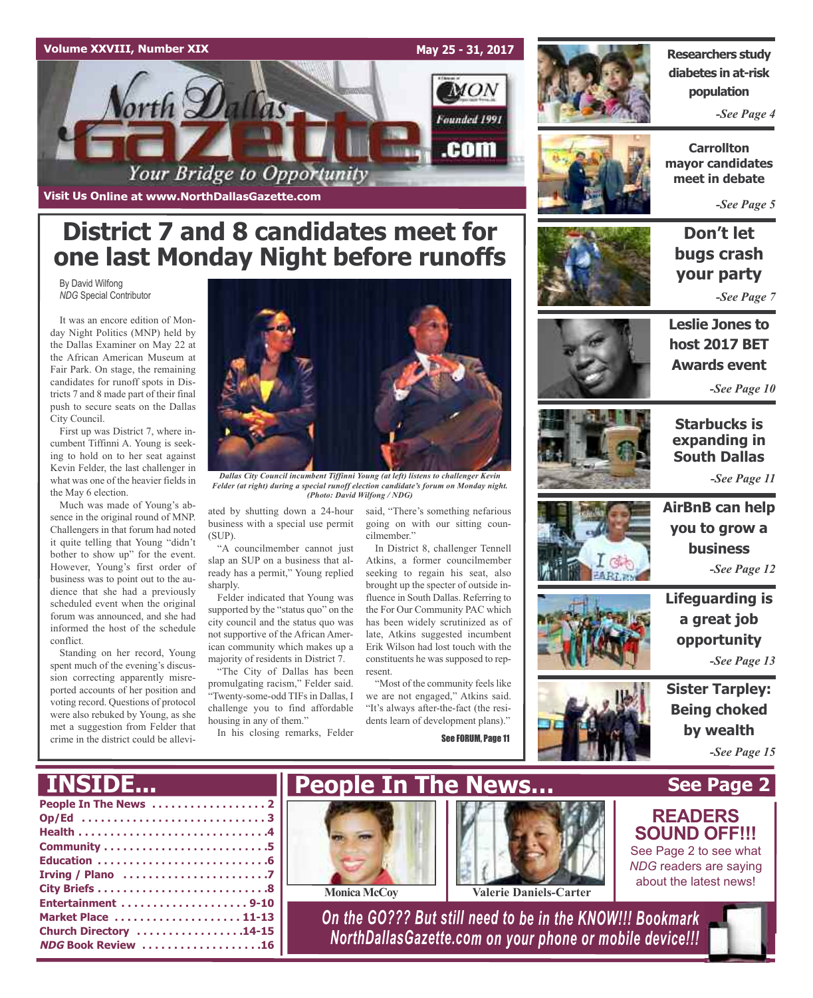



### **Researchers study diabetes in at-risk population**

*-See Page 4*

**Carrollton mayor candidates meet in debate**

*-See Page 5*

# **District 7 and 8 candidates meet for one last Monday Night before runoffs**

By David Wilfong *NDG* Special Contributor

It was an encore edition of Monday Night Politics (MNP) held by the Dallas Examiner on May 22 at the African American Museum at Fair Park. On stage, the remaining candidates for runoff spots in Districts 7 and 8 made part of their final push to secure seats on the Dallas City Council.

First up was District 7, where incumbent Tiffinni A. Young is seeking to hold on to her seat against Kevin Felder, the last challenger in what was one of the heavier fields in the May 6 election.

Much was made of Young's absence in the original round of MNP. Challengers in that forum had noted it quite telling that Young "didn't bother to show up" for the event. However, Young's first order of business was to point out to the audience that she had a previously scheduled event when the original forum was announced, and she had informed the host of the schedule conflict.

Standing on her record, Young spent much of the evening's discussion correcting apparently misreported accounts of her position and voting record. Questions of protocol were also rebuked by Young, as she met a suggestion from Felder that crime in the district could be allevi-



*Dallas City Council incumbent Tiffinni Young (at left) listens to challenger Kevin Felder (at right) during a special runoff election candidate's forum on Monday night. (Photo: David Wilfong / NDG)*

ated by shutting down a 24-hour business with a special use permit (SUP).

"A councilmember cannot just slap an SUP on a business that already has a permit," Young replied sharply.

Felder indicated that Young was supported by the "status quo" on the city council and the status quo was not supportive of the African American community which makes up a majority of residents in District 7.

"The City of Dallas has been promulgating racism," Felder said. "Twenty-some-odd TIFs in Dallas, I challenge you to find affordable housing in any of them."

In his closing remarks, Felder

said, "There's something nefarious going on with our sitting coun-

cilmember" In District 8, challenger Tennell Atkins, a former councilmember seeking to regain his seat, also brought up the specter of outside influence in South Dallas. Referring to the For Our Community PAC which

has been widely scrutinized as of late, Atkins suggested incumbent Erik Wilson had lost touch with the constituents he was supposed to represent.

"Most of the community feels like we are not engaged," Atkins said. "It's always after-the-fact (the residents learn of development plans)."

See FORUM, Page 11



**Don't let bugs crash your party** *-See Page 7*

**Leslie Jones to host 2017 BET Awards event**

*-See Page 10*



**Starbucks is expanding in South Dallas** *-See Page 11*

**AirBnB can help you to grow a business** *-See Page 12*

**Lifeguarding is a great job opportunity** *-See Page 13*





**People In The News . . . . . . . . . . . . . . . . . . 2 Op/Ed . . . . . . . . . . . . . . . . . . . . . . . . . . . . . 3 Health . . . . . . . . . . . . . . . . . . . . . . . . . . . . . .4 Community . . . . . . . . . . . . . . . . . . . . . . . . . .5 Education . . . . . . . . . . . . . . . . . . . . . . . . . . .6 Irving / Plano . . . . . . . . . . . . . . . . . . . . . . .7 City Briefs . . . . . . . . . . . . . . . . . . . . . . . . . . .8 Entertainment . . . . . . . . . . . . . . . . . . . . 9-10 Market Place . . . . . . . . . . . . . . . . . . . . 11-13 Church Directory . . . . . . . . . . . . . . . . .14-15 NDG Book Review . . . . . . . . . . . . . . . . . . .16 INSIDE...**



**MonicaMcCoy Valerie Daniels-Carter**

*On the GO??? But still need to be in the KNOW!!! Bookmark NorthDallasGazette.com on your phone or mobile device!!!*



**READERS SOUND OFF!!!** See Page 2 to see what *NDG* readers are saying about the latest news!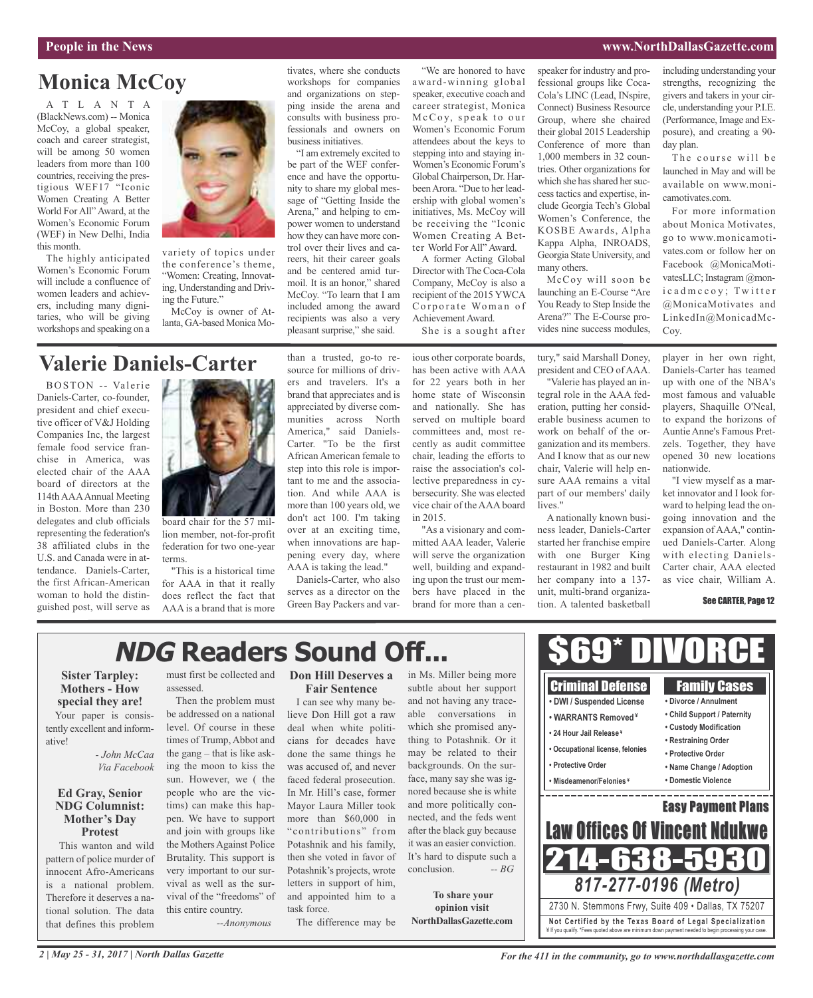#### **People in the News www.NorthDallasGazette.com**

### **Monica McCoy**

A T L A N T A (BlackNews.com) -- Monica McCoy, a global speaker, coach and career strategist, will be among 50 women leaders from more than 100 countries, receiving the prestigious WEF17 "Iconic Women Creating A Better World For All" Award, at the Women's Economic Forum (WEF) in New Delhi, India this month.

The highly anticipated Women's Economic Forum will include a confluence of women leaders and achievers, including many dignitaries, who will be giving workshops and speaking on a



variety of topics under the conference's theme, "Women: Creating, Innovating, Understanding and Driving the Future."

McCoy is owner of Atlanta, GA-based Monica Motivates, where she conducts workshops for companies and organizations on stepping inside the arena and consults with business professionals and owners on business initiatives.

"I am extremely excited to be part of the WEF conference and have the opportunity to share my global message of "Getting Inside the Arena," and helping to empower women to understand how they can have more control over their lives and careers, hit their career goals and be centered amid turmoil. It is an honor," shared McCoy. "To learn that I am included among the award recipients was also a very pleasant surprise," she said.

"We are honored to have award-winning global speaker, executive coach and career strategist, Monica McCoy, speak to our Women's Economic Forum attendees about the keys to stepping into and staying in-Women's Economic Forum's Global Chairperson, Dr. HarbeenArora. "Due to her leadership with global women's initiatives, Ms. McCoy will be receiving the "Iconic Women Creating A Better World For All" Award.

A former Acting Global Director with The Coca-Cola Company, McCoy is also a recipient of the 2015 YWCA Corporate Woman of Achievement Award.

She is a sought after

ious other corporate boards, has been active with AAA

"As a visionary and committed AAA leader, Valerie will serve the organization well, building and expanding upon the trust our members have placed in the brand for more than a censpeaker for industry and professional groups like Coca-Cola's LINC (Lead, INspire, Connect) Business Resource Group, where she chaired their global 2015 Leadership Conference of more than 1,000 members in 32 countries. Other organizations for which she has shared her success tactics and expertise, include Georgia Tech's Global Women's Conference, the KOSBE Awards, Alpha Kappa Alpha, INROADS, Georgia State University, and many others.

McCoy will soon be launching an E-Course "Are You Ready to Step Inside the Arena?" The E-Course provides nine success modules,

including understanding your strengths, recognizing the givers and takers in your circle, understanding your P.I.E. (Performance, Image and Exposure), and creating a 90 day plan.

The course will be launched in May and will be available on www.monicamotivates.com.

For more information about Monica Motivates, go to www.monicamotivates.com or follow her on Facebook @MonicaMotivatesLLC; Instagram @moni c a d m c c o y; Twitter @MonicaMotivates and LinkedIn@MonicadMc-Coy.

### BOSTON -- Valerie **Valerie Daniels-Carter**

Daniels-Carter, co-founder, president and chief executive officer of V&J Holding Companies Inc, the largest female food service franchise in America, was elected chair of the AAA board of directors at the 114th AAAAnnual Meeting in Boston. More than 230 delegates and club officials representing the federation's 38 affiliated clubs in the U.S. and Canada were in attendance. Daniels-Carter, the first African-American woman to hold the distinguished post, will serve as



board chair for the 57 million member, not-for-profit federation for two one-year terms.

"This is a historical time for AAA in that it really does reflect the fact that AAA is a brand that is more

than a trusted, go-to resource for millions of drivers and travelers. It's a brand that appreciates and is appreciated by diverse communities across North America," said Daniels-Carter. "To be the first African American female to step into this role is important to me and the association. And while AAA is more than 100 years old, we don't act 100. I'm taking over at an exciting time, when innovations are happening every day, where AAA is taking the lead."

Daniels-Carter, who also serves as a director on the Green Bay Packers and var-

for 22 years both in her home state of Wisconsin and nationally. She has served on multiple board committees and, most recently as audit committee chair, leading the efforts to raise the association's collective preparedness in cybersecurity. She was elected vice chair of the AAA board in 2015.

tury," said Marshall Doney, president and CEO of AAA.

"Valerie has played an integral role in the AAA federation, putting her considerable business acumen to work on behalf of the organization and its members. And I know that as our new chair, Valerie will help ensure AAA remains a vital part of our members' daily lives."

A nationally known business leader, Daniels-Carter started her franchise empire with one Burger King restaurant in 1982 and built her company into a 137 unit, multi-brand organization. A talented basketball

player in her own right, Daniels-Carter has teamed up with one of the NBA's most famous and valuable players, Shaquille O'Neal, to expand the horizons of Auntie Anne's Famous Pretzels. Together, they have opened 30 new locations nationwide.

"I view myself as a market innovator and I look forward to helping lead the ongoing innovation and the expansion of AAA," continued Daniels-Carter. Along with electing Daniels-Carter chair, AAA elected as vice chair, William A.

#### See CARTER, Page 12

# **NDG Readers Sound Off...**

**Sister Tarpley: Mothers - How special they are!** Your paper is consistently excellent and informative!

> *- John McCaa Via Facebook*

#### **Ed Gray, Senior NDG Columnist: Mother's Day Protest**

This wanton and wild pattern of police murder of innocent Afro-Americans is a national problem. Therefore it deserves a national solution. The data that defines this problem

must first be collected and assessed.

Then the problem must be addressed on a national level. Of course in these times of Trump, Abbot and the gang – that is like asking the moon to kiss the sun. However, we ( the people who are the victims) can make this happen. We have to support and join with groups like the Mothers Against Police Brutality. This support is very important to our survival as well as the survival of the "freedoms" of this entire country. *--Anonymous*

#### **Don Hill Deserves a Fair Sentence**

I can see why many believe Don Hill got a raw deal when white politicians for decades have done the same things he was accused of, and never faced federal prosecution. In Mr. Hill's case, former Mayor Laura Miller took more than \$60,000 in "contributions" from Potashnik and his family, then she voted in favor of Potashnik's projects, wrote letters in support of him, and appointed him to a task force.

The difference may be

in Ms. Miller being more subtle about her support and not having any traceable conversations in which she promised anything to Potashnik. Or it may be related to their backgrounds. On the surface, many say she was ignored because she is white and more politically connected, and the feds went after the black guy because it was an easier conviction. It's hard to dispute such a conclusion. *-- BG*

**To share your opinion visit NorthDallasGazette.com**

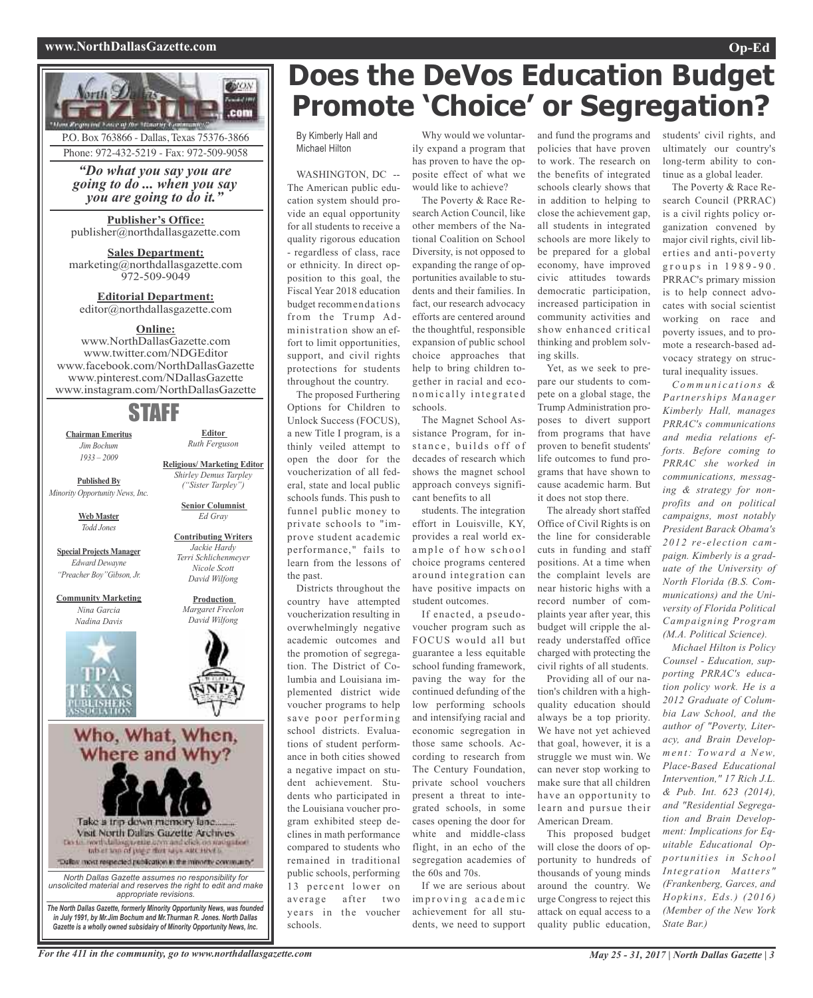#### **www.NorthDallasGazette.com Op-Ed**



Phone: 972-432-5219 - Fax: 972-509-9058

*"Do what you say you are going to do ... when you say you are going to do it."*

**Publisher's Office:** publisher@northdallasgazette.com

**Sales Department:** marketing@northdallasgazette.com 972-509-9049

**Editorial Department:** editor@northdallasgazette.com

#### **Online:**

www.NorthDallasGazette.com www.twitter.com/NDGEditor www.facebook.com/NorthDallasGazette www.pinterest.com/NDallasGazette www.instagram.com/NorthDallasGazette

### STAFF

**Editor Chairman Emeritus** *Ruth Ferguson Jim Bochum 1933 – 2009* **Religious/ Marketing Editor** *Shirley Demus Tarpley* **Published By** *("Sister Tarpley") Minority Opportunity News, Inc.* **Senior Columnist Web Master** *Ed Gray Todd Jones* **Contributing Writers** *Jackie Hardy* **Special Projects Manager** *Terri Schlichenmeyer Edward Dewayne Nicole Scott "Preacher Boy"Gibson, Jr. David Wilfong* **Community Marketing Production** *Nina Garcia Margaret Freelon David Wilfong Nadina Davis* Who, What, When, Where and Why? Take a trip down memory Visit North Dallas Gazette Archives Der ter morthylationg textile around a field on manual and<br>table the compact purper that says was ruled to "Dallaw most respected publication in the minority community" *North Dallas Gazette assumes no responsibility for unsolicited material and reserves the right to edit and make appropriate revisions. The North Dallas Gazette, formerly Minority Opportunity News, was founded in July 1991, by Mr.Jim Bochum and Mr.Thurman R. Jones. North Dallas Gazette is a wholly owned subsidairy of Minority Opportunity News, Inc.*

# **Does the DeVos Education Budget Promote 'Choice' or Segregation?**

By Kimberly Hall and Michael Hilton

WASHINGTON, DC --The American public education system should provide an equal opportunity for all students to receive a quality rigorous education - regardless of class, race or ethnicity. In direct opposition to this goal, the Fiscal Year 2018 education budget recommendations from the Trump Administration show an effort to limit opportunities, support, and civil rights protections for students throughout the country.

The proposed Furthering Options for Children to Unlock Success (FOCUS), a new Title I program, is a thinly veiled attempt to open the door for the voucherization of all federal, state and local public schools funds. This push to funnel public money to private schools to "improve student academic performance," fails to learn from the lessons of the past.

Districts throughout the country have attempted voucherization resulting in overwhelmingly negative academic outcomes and the promotion of segregation. The District of Columbia and Louisiana implemented district wide voucher programs to help save poor performing school districts. Evaluations of student performance in both cities showed a negative impact on student achievement. Students who participated in the Louisiana voucher program exhibited steep declines in math performance compared to students who remained in traditional public schools, performing 13 percent lower on average after two years in the voucher schools.

Why would we voluntarily expand a program that has proven to have the opposite effect of what we would like to achieve?

The Poverty & Race Research Action Council, like other members of the National Coalition on School Diversity, is not opposed to expanding the range of opportunities available to students and their families. In fact, our research advocacy efforts are centered around the thoughtful, responsible expansion of public school choice approaches that help to bring children together in racial and economically integrated schools.

The Magnet School Assistance Program, for instance, builds off of decades of research which shows the magnet school approach conveys significant benefits to all

students. The integration effort in Louisville, KY, provides a real world example of how school choice programs centered around integration can have positive impacts on student outcomes.

If enacted, a pseudovoucher program such as FOCUS would all but guarantee a less equitable school funding framework, paving the way for the continued defunding of the low performing schools and intensifying racial and economic segregation in those same schools. According to research from The Century Foundation, private school vouchers present a threat to integrated schools, in some cases opening the door for white and middle-class flight, in an echo of the segregation academies of the 60s and 70s.

If we are serious about improving academic achievement for all students, we need to support

and fund the programs and policies that have proven to work. The research on the benefits of integrated schools clearly shows that in addition to helping to close the achievement gap, all students in integrated schools are more likely to be prepared for a global economy, have improved civic attitudes towards democratic participation, increased participation in community activities and show enhanced critical thinking and problem solving skills.

Yet, as we seek to prepare our students to compete on a global stage, the Trump Administration proposes to divert support from programs that have proven to benefit students' life outcomes to fund programs that have shown to cause academic harm. But it does not stop there.

The already short staffed Office of Civil Rights is on the line for considerable cuts in funding and staff positions. At a time when the complaint levels are near historic highs with a record number of complaints year after year, this budget will cripple the already understaffed office charged with protecting the civil rights of all students.

Providing all of our nation's children with a highquality education should always be a top priority. We have not yet achieved that goal, however, it is a struggle we must win. We can never stop working to make sure that all children have an opportunity to learn and pursue their American Dream.

This proposed budget will close the doors of opportunity to hundreds of thousands of young minds around the country. We urge Congress to reject this attack on equal access to a quality public education,

students' civil rights, and ultimately our country's long-term ability to continue as a global leader.

The Poverty & Race Research Council (PRRAC) is a civil rights policy organization convened by major civil rights, civil liberties and anti-poverty groups in 1989-90. PRRAC's primary mission is to help connect advocates with social scientist working on race and poverty issues, and to promote a research-based advocacy strategy on structural inequality issues.

*Co m m u n i c a t i o n s & Partnerships Manager Kimberly Hall, manages PRRAC's communications and media relations efforts. Before coming to PRRAC she worked in communications, messaging & strategy for nonprofits and on political campaigns, most notably President Barack Obama's 2012 re-election campaign. Kimberly is a graduate of the University of North Florida (B.S. Communications) and the University of Florida Political Campaigning Program (M.A. Political Science).*

*Michael Hilton is Policy Counsel - Education, supporting PRRAC's education policy work. He is a 2012 Graduate of Columbia Law School, and the author of "Poverty, Literacy, and Brain Developm e n t: Towa rd a New, Place-Based Educational Intervention," 17 Rich J.L. & Pub. Int. 623 (2014), and "Residential Segregation and Brain Development: Implications for Equitable Educational Opportunities in School Integration Matters " (Frankenberg, Garces, and Hopkins, Eds.) (2016) (Member of the New York State Bar.)*

For the 411 in the community, go to www.northdallasgazette.com May 25 - 31, 2017 | North Dallas Gazette | 3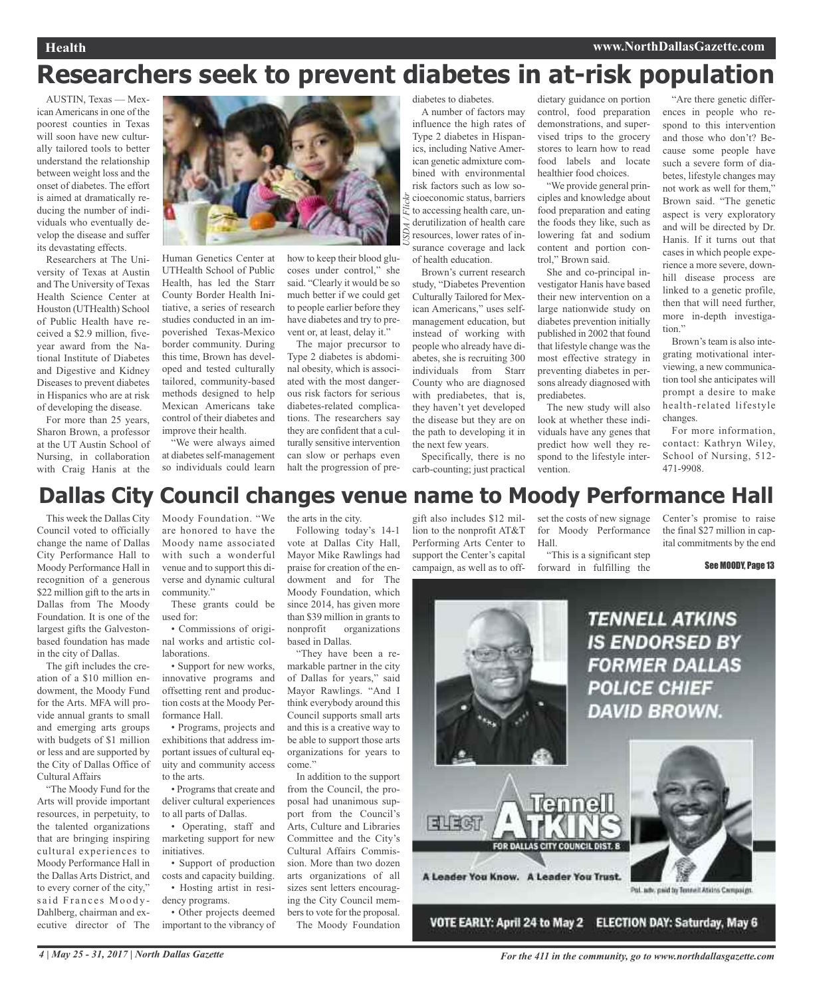# **Researchers seek to prevent diabetes in at-risk population**

*USDA / Flickr*

AUSTIN, Texas — MexicanAmericans in one of the poorest counties in Texas will soon have new culturally tailored tools to better understand the relationship between weight loss and the onset of diabetes. The effort is aimed at dramatically reducing the number of individuals who eventually develop the disease and suffer its devastating effects.

Researchers at The University of Texas at Austin and The University of Texas Health Science Center at Houston (UTHealth) School of Public Health have received a \$2.9 million, fiveyear award from the National Institute of Diabetes and Digestive and Kidney Diseases to prevent diabetes in Hispanics who are at risk of developing the disease.

For more than 25 years, Sharon Brown, a professor at the UT Austin School of Nursing, in collaboration with Craig Hanis at the



Human Genetics Center at UTHealth School of Public Health, has led the Starr County Border Health Initiative, a series of research studies conducted in an impoverished Texas-Mexico border community. During this time, Brown has developed and tested culturally tailored, community-based methods designed to help Mexican Americans take control of their diabetes and improve their health.

"We were always aimed at diabetes self-management so individuals could learn how to keep their blood glucoses under control," she said. "Clearly it would be so much better if we could get to people earlier before they have diabetes and try to prevent or, at least, delay it."

The major precursor to Type 2 diabetes is abdominal obesity, which is associated with the most dangerous risk factors for serious diabetes-related complications. The researchers say they are confident that a culturally sensitive intervention can slow or perhaps even halt the progression of prediabetes to diabetes.

A number of factors may influence the high rates of Type 2 diabetes in Hispanics, including Native American genetic admixture combined with environmental risk factors such as low socioeconomic status, barriers to accessing health care, underutilization of health care resources, lower rates of insurance coverage and lack of health education.

Brown's current research study, "Diabetes Prevention Culturally Tailored for Mexican Americans," uses selfmanagement education, but instead of working with people who already have diabetes, she is recruiting 300 individuals from Starr County who are diagnosed with prediabetes, that is, they haven't yet developed the disease but they are on the path to developing it in the next few years.

Specifically, there is no carb-counting; just practical

dietary guidance on portion control, food preparation demonstrations, and supervised trips to the grocery stores to learn how to read food labels and locate healthier food choices.

"We provide general principles and knowledge about food preparation and eating the foods they like, such as lowering fat and sodium content and portion control," Brown said.

She and co-principal investigator Hanis have based their new intervention on a large nationwide study on diabetes prevention initially published in 2002 that found that lifestyle change was the most effective strategy in preventing diabetes in persons already diagnosed with prediabetes.

The new study will also look at whether these individuals have any genes that predict how well they respond to the lifestyle intervention.

"Are there genetic differences in people who respond to this intervention and those who don't? Because some people have such a severe form of diabetes, lifestyle changes may not work as well for them," Brown said. "The genetic aspect is very exploratory and will be directed by Dr. Hanis. If it turns out that cases in which people experience a more severe, downhill disease process are linked to a genetic profile, then that will need further, more in-depth investigation<sup>"</sup>

Brown's team is also integrating motivational interviewing, a new communication tool she anticipates will prompt a desire to make health-related lifestyle changes.

For more information, contact: Kathryn Wiley, School of Nursing, 512- 471-9908.

### **Dallas City Council changes venue name to Moody Performance Hall**

This week the Dallas City Council voted to officially change the name of Dallas City Performance Hall to Moody Performance Hall in recognition of a generous \$22 million gift to the arts in Dallas from The Moody Foundation. It is one of the largest gifts the Galvestonbased foundation has made in the city of Dallas.

The gift includes the creation of a \$10 million endowment, the Moody Fund for the Arts. MFA will provide annual grants to small and emerging arts groups with budgets of \$1 million or less and are supported by the City of Dallas Office of Cultural Affairs

"The Moody Fund for the Arts will provide important resources, in perpetuity, to the talented organizations that are bringing inspiring cultural experiences to Moody Performance Hall in the Dallas Arts District, and to every corner of the city," said Frances Moody-Dahlberg, chairman and executive director of The

Moody Foundation. "We are honored to have the Moody name associated with such a wonderful venue and to support this diverse and dynamic cultural community."

These grants could be used for:

• Commissions of original works and artistic collaborations.

• Support for new works, innovative programs and offsetting rent and production costs at the Moody Performance Hall.

• Programs, projects and exhibitions that address important issues of cultural equity and community access to the arts.

• Programs that create and deliver cultural experiences to all parts of Dallas.

• Operating, staff and marketing support for new initiatives.

• Support of production costs and capacity building.

• Hosting artist in residency programs.

• Other projects deemed important to the vibrancy of

the arts in the city.

Following today's 14-1 vote at Dallas City Hall, Mayor Mike Rawlings had praise for creation of the endowment and for The Moody Foundation, which since 2014, has given more than \$39 million in grants to<br>nonprofit organizations organizations based in Dallas.

"They have been a remarkable partner in the city of Dallas for years," said Mayor Rawlings. "And I think everybody around this Council supports small arts and this is a creative way to be able to support those arts organizations for years to come."

In addition to the support from the Council, the proposal had unanimous support from the Council's Arts, Culture and Libraries Committee and the City's Cultural Affairs Commission. More than two dozen arts organizations of all sizes sent letters encouraging the City Council members to vote for the proposal. The Moody Foundation

gift also includes \$12 million to the nonprofit AT&T Performing Arts Center to support the Center's capital campaign, as well as to offset the costs of new signage for Moody Performance Hall.

"This is a significant step forward in fulfilling the Center's promise to raise the final \$27 million in capital commitments by the end

See MOODY, Page 13

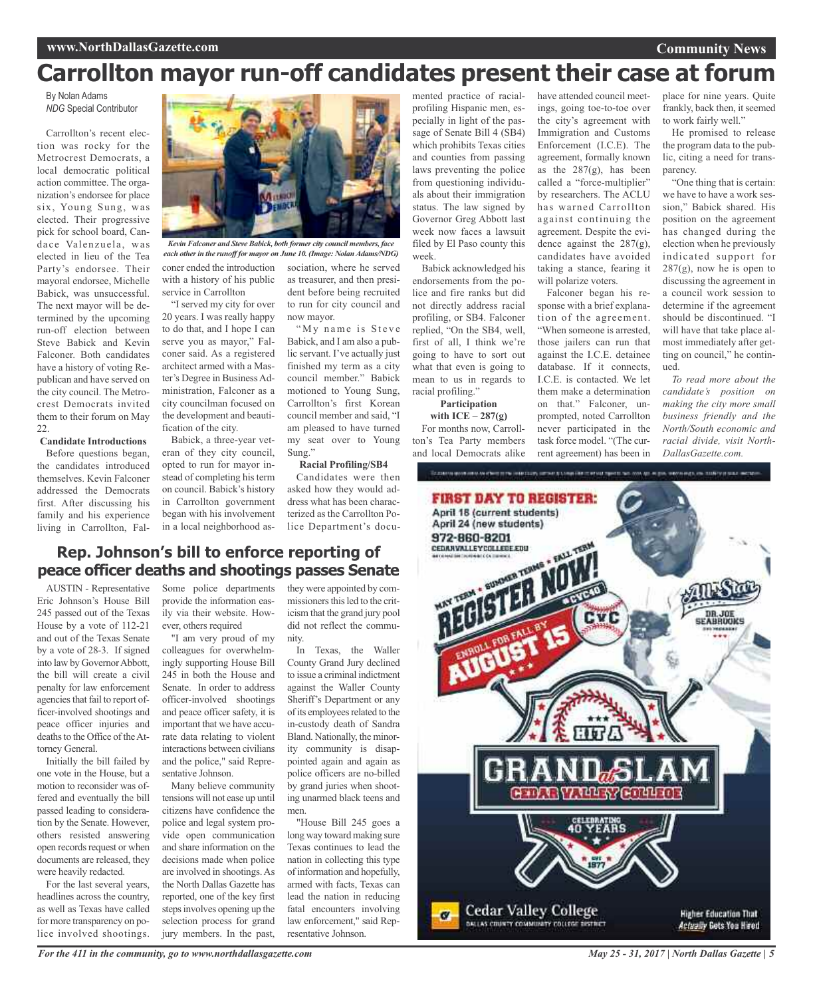# **Carrollton mayor run-off candidates present their case at forum**

By Nolan Adams *NDG* Special Contributor

Carrollton's recent election was rocky for the Metrocrest Democrats, a local democratic political action committee. The organization's endorsee for place six, Young Sung, was elected. Their progressive pick for school board, Candace Valenzuela, was elected in lieu of the Tea Party's endorsee. Their mayoral endorsee, Michelle Babick, was unsuccessful. The next mayor will be determined by the upcoming run-off election between Steve Babick and Kevin Falconer. Both candidates have a history of voting Republican and have served on the city council. The Metrocrest Democrats invited them to their forum on May 22.

#### **Candidate Introductions**

Before questions began, the candidates introduced themselves. Kevin Falconer addressed the Democrats first. After discussing his family and his experience living in Carrollton, Fal-



coner ended the introduction with a history of his public service in Carrollton "I served my city for over *each otherin the runoff for mayor on June 10. (Image: NolanAdams/NDG)*

20 years. I was really happy to do that, and I hope I can serve you as mayor," Falconer said. As a registered architect armed with a Master's Degree in Business Administration, Falconer as a city councilman focused on the development and beautification of the city.

Babick, a three-year veteran of they city council, opted to run for mayor instead of completing his term on council. Babick's history in Carrollton government began with his involvement in a local neighborhood association, where he served as treasurer, and then president before being recruited to run for city council and now mayor.

"My name is Steve Babick, and I am also a public servant. I've actually just finished my term as a city council member." Babick motioned to Young Sung, Carrollton's first Korean council member and said, "I am pleased to have turned my seat over to Young Sung."

#### **Racial Profiling/SB4**

Candidates were then asked how they would address what has been characterized as the Carrollton Police Department's docu-

mented practice of racialprofiling Hispanic men, especially in light of the passage of Senate Bill 4 (SB4) which prohibits Texas cities and counties from passing laws preventing the police from questioning individuals about their immigration status. The law signed by Governor Greg Abbott last week now faces a lawsuit filed by El Paso county this week.

Babick acknowledged his endorsements from the police and fire ranks but did not directly address racial profiling, or SB4. Falconer replied, "On the SB4, well, first of all, I think we're going to have to sort out what that even is going to mean to us in regards to racial profiling."

#### **Participation**

with  $ICE - 287(g)$ For months now, Carrollton's Tea Party members

and local Democrats alike

have attended council meetings, going toe-to-toe over the city's agreement with Immigration and Customs Enforcement (I.C.E). The agreement, formally known as the  $287(g)$ , has been called a "force-multiplier" by researchers. The ACLU has warned Carrollton against continuing the agreement. Despite the evidence against the  $287(g)$ , candidates have avoided taking a stance, fearing it will polarize voters.

Falconer began his response with a brief explanation of the agreement. "When someone is arrested, those jailers can run that against the I.C.E. detainee database. If it connects, I.C.E. is contacted. We let them make a determination on that." Falconer, unprompted, noted Carrollton never participated in the task force model. "(The current agreement) has been in

place for nine years. Quite frankly, back then, it seemed to work fairly well."

**Community News**

He promised to release the program data to the public, citing a need for transparency.

"One thing that is certain: we have to have a work session," Babick shared. His position on the agreement has changed during the election when he previously indicated support for  $287(g)$ , now he is open to discussing the agreement in a council work session to determine if the agreement should be discontinued. "I will have that take place almost immediately after getting on council," he continued.

*To read more about the candidate's position on making the city more small business friendly and the North/South economic and racial divide, visit North-DallasGazette.com.*

# Contractor and an electronic interiors, an any constitution or ap-**RESULTING METAL OR DERIVERED WORKING FIRST DAY TO REGISTER:** April 18 (current students) April 24 (new students) 972-860-8201 CEDARVALLEYCOLLEGE.EDU REGISTER NOW DR. JOE<br>SEABRUOKS CVC AUGUST 144 676 144 17 40 YEARS **Cedar Valley College Higher Education That DALLAS CRUNTY COMMUNITY COLLEGE DISTRICT** Actually Gets You Hired

### **Rep. Johnson's bill to enforce reporting of peace officer deaths and shootings passes Senate**

AUSTIN - Representative Eric Johnson's House Bill 245 passed out of the Texas House by a vote of 112-21 and out of the Texas Senate by a vote of 28-3. If signed into law by Governor Abbott, the bill will create a civil penalty for law enforcement agencies that fail to report officer-involved shootings and peace officer injuries and deaths to the Office of the Attorney General.

Initially the bill failed by one vote in the House, but a motion to reconsider was offered and eventually the bill passed leading to consideration by the Senate. However, others resisted answering open records request or when documents are released, they were heavily redacted.

For the last several years, headlines across the country, as well as Texas have called for more transparency on police involved shootings. Some police departments provide the information easily via their website. However, others required

"I am very proud of my colleagues for overwhelmingly supporting House Bill 245 in both the House and Senate. In order to address officer-involved shootings and peace officer safety, it is important that we have accurate data relating to violent interactions between civilians and the police," said Representative Johnson.

Many believe community tensions will not ease up until citizens have confidence the police and legal system provide open communication and share information on the decisions made when police are involved in shootings.As the North Dallas Gazette has reported, one of the key first steps involves opening up the selection process for grand jury members. In the past,

they were appointed by commissioners this led to the criticism that the grand jury pool did not reflect the community.

In Texas, the Waller County Grand Jury declined to issue a criminal indictment against the Waller County Sheriff's Department or any of its employees related to the in-custody death of Sandra Bland. Nationally, the minority community is disappointed again and again as police officers are no-billed by grand juries when shooting unarmed black teens and men.

"House Bill 245 goes a long way toward making sure Texas continues to lead the nation in collecting this type of information and hopefully, armed with facts, Texas can lead the nation in reducing fatal encounters involving law enforcement," said Representative Johnson.

*May 25 - 31, 2017 | North Dallas Gazette | 5*

*For the 411 in the community, go to www.northdallasgazette.com*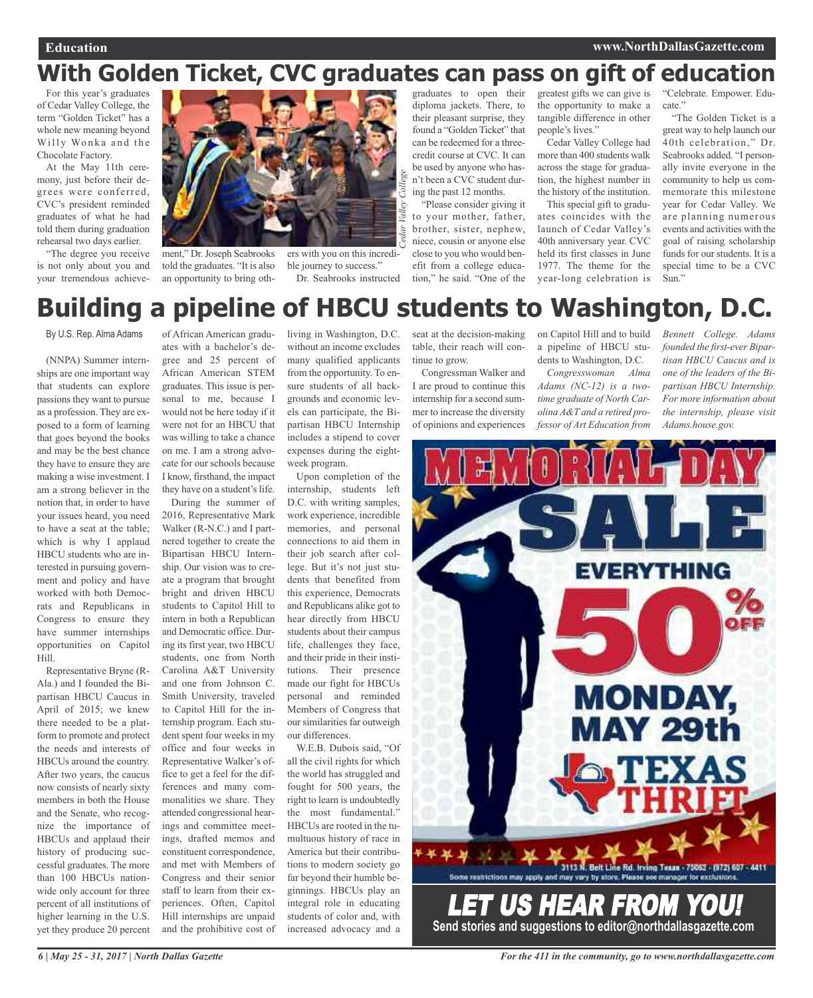# **With Golden Ticket, CVC graduates can pass on gift of education**

For this year's graduates of Cedar Valley College, the term "Golden Ticket" has a whole new meaning beyond Willy Wonka and the Chocolate Factory.

At the May 11th ceremony, just before their degrees were conferred, CVC's president reminded graduates of what he had told them during graduation rehearsal two days earlier.

"The degree you receive is not only about you and your tremendous achieve-



ment," Dr.Joseph Seabrooks told the graduates. "It is also an opportunity to bring others with you on this incredible journey to success." Dr. Seabrooks instructed graduates to open their diploma jackets. There, to their pleasant surprise, they found a "Golden Ticket" that can be redeemed for a threecredit course at CVC. It can be used by anyone who hasn't been a CVC student during the past 12 months.

"Please consider giving it to your mother, father, brother, sister, nephew, niece, cousin or anyone else close to you who would benefit from a college education," he said. "One of the *Cedar Valley College*

greatest gifts we can give is the opportunity to make a tangible difference in other people's lives."

Cedar Valley College had more than 400 students walk across the stage for graduation, the highest number in the history of the institution.

This special gift to graduates coincides with the launch of Cedar Valley's 40th anniversary year. CVC held its first classes in June 1977. The theme for the year-long celebration is

"Celebrate. Empower. Educate."

"The Golden Ticket is a great way to help launch our 40th celebration," Dr. Seabrooks added. "I personally invite everyone in the community to help us commemorate this milestone year for Cedar Valley. We are planning numerous events and activities with the goal of raising scholarship funds for our students. It is a special time to be a CVC Sun."

# **Building a pipeline of HBCU students to Washington, D.C.**

#### By U.S. Rep. Alma Adams

(NNPA) Summer internships are one important way that students can explore passions they want to pursue as a profession. They are exposed to a form of learning that goes beyond the books and may be the best chance they have to ensure they are making a wise investment. I am a strong believer in the notion that, in order to have your issues heard, you need to have a seat at the table; which is why I applaud HBCU students who are interested in pursuing government and policy and have worked with both Democrats and Republicans in Congress to ensure they have summer internships opportunities on Capitol Hill.

Representative Bryne (R-Ala.) and I founded the Bipartisan HBCU Caucus in April of 2015; we knew there needed to be a platform to promote and protect the needs and interests of HBCUs around the country. After two years, the caucus now consists of nearly sixty members in both the House and the Senate, who recognize the importance of HBCUs and applaud their history of producing successful graduates. The more than 100 HBCUs nationwide only account for three percent of all institutions of higher learning in the U.S. yet they produce 20 percent

of African American graduates with a bachelor's degree and 25 percent of African American STEM graduates. This issue is personal to me, because I would not be here today if it were not for an HBCU that was willing to take a chance on me. I am a strong advocate for our schools because I know, firsthand, the impact they have on a student's life.

During the summer of 2016, Representative Mark Walker (R-N.C.) and I partnered together to create the Bipartisan HBCU Internship. Our vision was to create a program that brought bright and driven HBCU students to Capitol Hill to intern in both a Republican and Democratic office. During its first year, two HBCU students, one from North Carolina A&T University and one from Johnson C. Smith University, traveled to Capitol Hill for the internship program. Each student spent four weeks in my office and four weeks in Representative Walker's office to get a feel for the differences and many commonalities we share. They attended congressional hearings and committee meetings, drafted memos and constituent correspondence, and met with Members of Congress and their senior staff to learn from their experiences. Often, Capitol Hill internships are unpaid and the prohibitive cost of living in Washington, D.C. without an income excludes many qualified applicants from the opportunity. To ensure students of all backgrounds and economic levels can participate, the Bipartisan HBCU Internship includes a stipend to cover expenses during the eightweek program.

Upon completion of the internship, students left D.C. with writing samples, work experience, incredible memories, and personal connections to aid them in their job search after college. But it's not just students that benefited from this experience, Democrats and Republicans alike got to hear directly from HBCU students about their campus life, challenges they face, and their pride in their institutions. Their presence made our fight for HBCUs personal and reminded Members of Congress that our similarities far outweigh our differences.

W.E.B. Dubois said, "Of all the civil rights for which the world has struggled and fought for 500 years, the right to learn is undoubtedly the most fundamental." HBCUs are rooted in the tumultuous history of race in America but their contributions to modern society go far beyond their humble beginnings. HBCUs play an integral role in educating students of color and, with increased advocacy and a

seat at the decision-making table, their reach will continue to grow.

Congressman Walker and I are proud to continue this internship for a second summer to increase the diversity of opinions and experiences on Capitol Hill and to build a pipeline of HBCU students to Washington, D.C.

*Congresswoman Alma Adams (NC-12) is a twotime graduate of North Carolina A&T and a retired professor of Art Education from*

*Bennett College. Adams founded the first-ever Bipartisan HBCU Caucus and is one of the leaders of the Bipartisan HBCU Internship. For more information about the internship, please visit Adams.house.gov.*

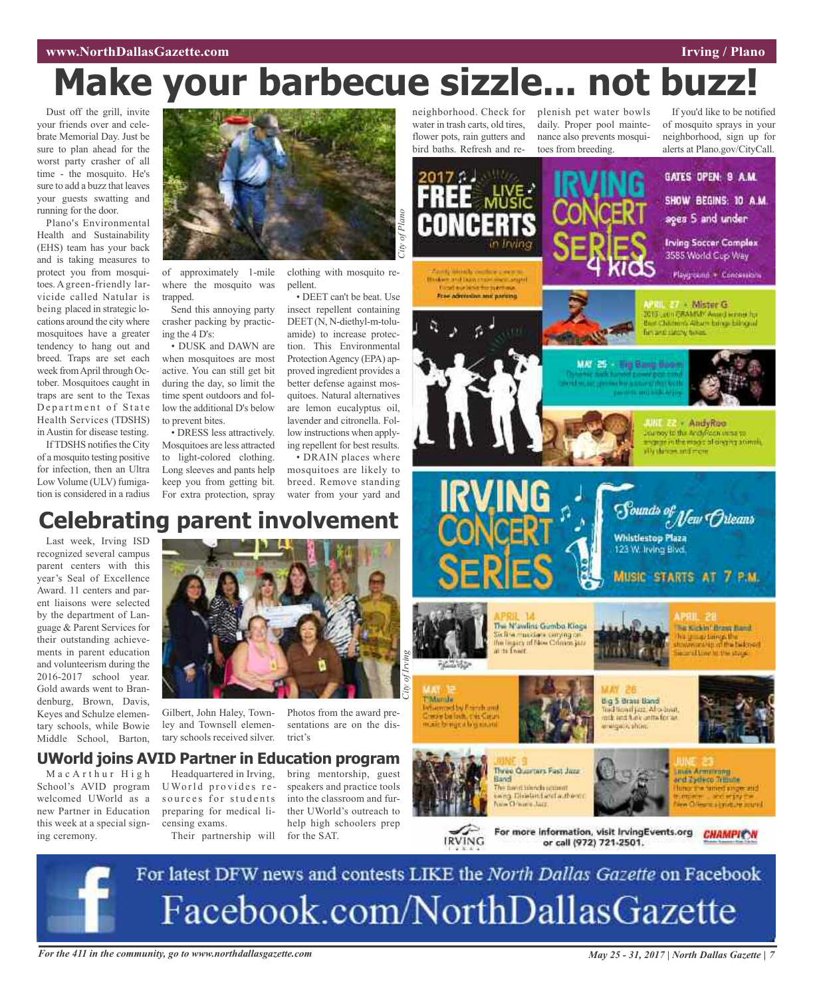# **Make your barbecue sizzle... not buzz!**

Dust off the grill, invite your friends over and celebrate Memorial Day. Just be sure to plan ahead for the worst party crasher of all time - the mosquito. He's sure to add a buzz that leaves your guests swatting and running for the door.

Plano's Environmental Health and Sustainability (EHS) team has your back and is taking measures to protect you from mosquitoes. A green-friendly larvicide called Natular is being placed in strategic locations around the city where mosquitoes have a greater tendency to hang out and breed. Traps are set each week fromApril through October. Mosquitoes caught in traps are sent to the Texas Department of State Health Services (TDSHS) in Austin for disease testing.

If TDSHS notifies the City of a mosquito testing positive for infection, then an Ultra Low Volume (ULV) fumigation is considered in a radius



of approximately 1-mile where the mosquito was trapped

Send this annoying party crasher packing by practicing the 4 D's:

• DUSK and DAWN are when mosquitoes are most active. You can still get bit during the day, so limit the time spent outdoors and follow the additional D's below to prevent bites.

• DRESS less attractively. Mosquitoes are less attracted to light-colored clothing. Long sleeves and pants help keep you from getting bit. For extra protection, spray

clothing with mosquito repellent.

• DEET can't be beat. Use insect repellent containing DEET (N, N-diethyl-m-toluamide) to increase protection. This Environmental Protection Agency (EPA) approved ingredient provides a better defense against mosquitoes. Natural alternatives are lemon eucalyptus oil, lavender and citronella. Follow instructions when applying repellent for best results.

• DRAIN places where mosquitoes are likely to breed. Remove standing water from your yard and

### **Celebrating parent involvement**

Last week, Irving ISD recognized several campus parent centers with this year's Seal of Excellence Award. 11 centers and parent liaisons were selected by the department of Language & Parent Services for their outstanding achievements in parent education and volunteerism during the 2016-2017 school year. Gold awards went to Brandenburg, Brown, Davis, Keyes and Schulze elementary schools, while Bowie Middle School, Barton,



Gilbert, John Haley, Townley and Townsell elementary schools received silver.

Photos from the award presentations are on the district's

### **UWorld joins AVID Partner in Education program**

MacArthur High School's AVID program welcomed UWorld as a new Partner in Education this week at a special signing ceremony.

Headquartered in Irving, UWorld provides resources for students preparing for medical licensing exams.

Their partnership will for the SAT.

bring mentorship, guest speakers and practice tools into the classroom and further UWorld's outreach to help high schoolers prep neighborhood. Check for water in trash carts, old tires, flower pots, rain gutters and bird baths. Refresh and re-

plenish pet water bowls daily. Proper pool maintenance also prevents mosquitoes from breeding.

If you'd like to be notified of mosquito sprays in your neighborhood, sign up for alerts at Plano.gov/CityCall.



For more information, visit irvingEvents.org CHAMPIC N or call (972) 721-2501.

For latest DFW news and contests LIKE the North Dallas Gazette on Facebook Facebook.com/NorthDallasGazette

**IRVING** 

For the 411 in the community, go to www.northdallasgazette.com May 25 - 31, 2017 | North Dallas Gazette | 7

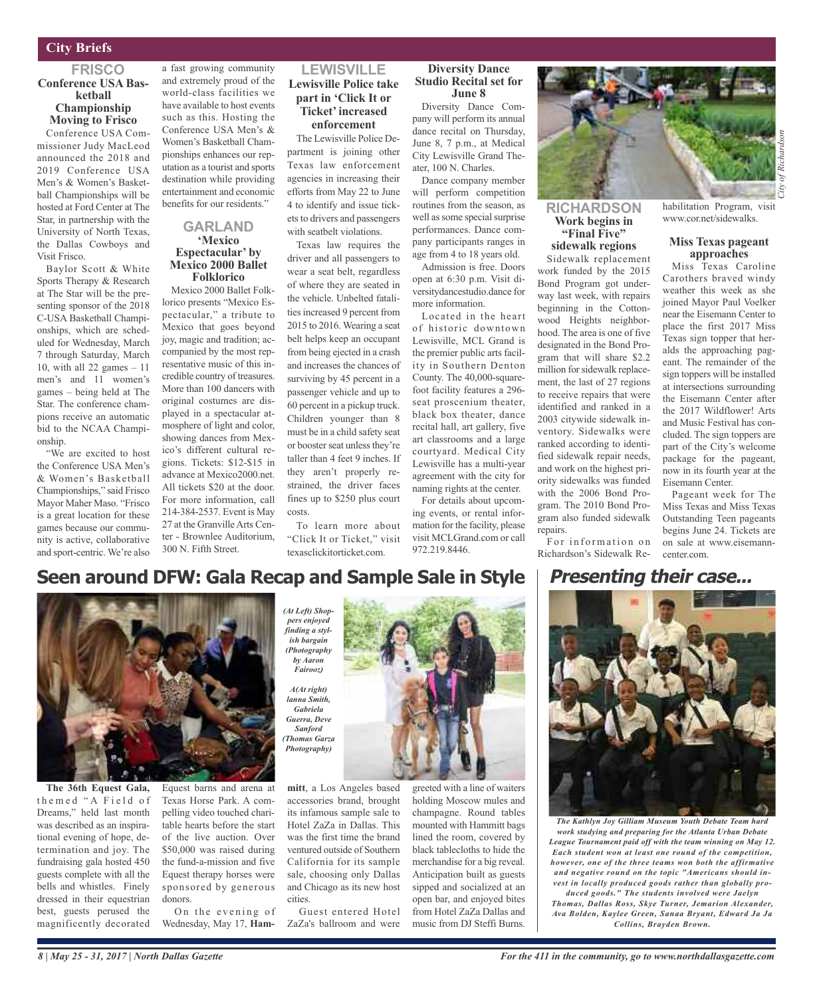#### **City Briefs**

#### **FRISCO Conference USA Basketball Championship Moving to Frisco**

Conference USA Commissioner Judy MacLeod announced the 2018 and 2019 Conference USA Men's & Women's Basketball Championships will be hosted at Ford Center at The Star, in partnership with the University of North Texas, the Dallas Cowboys and Visit Frisco.

Baylor Scott & White Sports Therapy & Research at The Star will be the presenting sponsor of the 2018 C-USA Basketball Championships, which are scheduled for Wednesday, March 7 through Saturday, March 10, with all 22 games – 11 men's and 11 women's games – being held at The Star. The conference champions receive an automatic bid to the NCAA Championship.

"We are excited to host the Conference USA Men's & Women's Basketball Championships," said Frisco Mayor Maher Maso. "Frisco is a great location for these games because our community is active, collaborative and sport-centric. We're also

a fast growing community and extremely proud of the world-class facilities we have available to host events such as this. Hosting the Conference USA Men's & Women's Basketball Championships enhances our reputation as a tourist and sports destination while providing entertainment and economic benefits for our residents."

#### **GARLAND 'Mexico Espectacular' by Mexico 2000 Ballet Folklorico**

Mexico 2000 Ballet Folklorico presents "Mexico Espectacular," a tribute to Mexico that goes beyond joy, magic and tradition; accompanied by the most representative music of this incredible country of treasures. More than 100 dancers with original costumes are displayed in a spectacular atmosphere of light and color, showing dances from Mexico's different cultural regions. Tickets: \$12-\$15 in advance at Mexico2000.net. All tickets \$20 at the door. For more information, call 214-384-2537. Event is May 27 at the GranvilleArts Center - Brownlee Auditorium, 300 N. Fifth Street.

#### **LEWISVILLE Lewisville Police take part in 'Click It or Ticket'increased enforcement**

The Lewisville Police Department is joining other Texas law enforcement agencies in increasing their efforts from May 22 to June 4 to identify and issue tickets to drivers and passengers with seatbelt violations.

Texas law requires the driver and all passengers to wear a seat belt, regardless of where they are seated in the vehicle. Unbelted fatalities increased 9 percent from 2015 to 2016. Wearing a seat belt helps keep an occupant from being ejected in a crash and increases the chances of surviving by 45 percent in a passenger vehicle and up to 60 percent in a pickup truck. Children younger than 8 must be in a child safety seat or booster seat unless they're taller than 4 feet 9 inches. If they aren't properly restrained, the driver faces fines up to \$250 plus court costs.

To learn more about "Click It or Ticket," visit texasclickitorticket.com.

#### **Diversity Dance Studio Recital set for June 8**

Diversity Dance Company will perform its annual dance recital on Thursday, June 8, 7 p.m., at Medical City Lewisville Grand Theater, 100 N. Charles.

Dance company member will perform competition routines from the season, as well as some special surprise performances. Dance company participants ranges in age from 4 to 18 years old. Admission is free. Doors

open at 6:30 p.m. Visit diversitydancestudio.dance for more information.

Located in the heart of historic downtown Lewisville, MCL Grand is the premier public arts facility in Southern Denton County. The 40,000-squarefoot facility features a 296 seat proscenium theater, black box theater, dance recital hall, art gallery, five art classrooms and a large courtyard. Medical City Lewisville has a multi-year agreement with the city for naming rights at the center. For details about upcom-

ing events, or rental information for the facility, please visit MCLGrand.com or call 972.219.8446.



**RICHARDSON Work begins in "Final Five" sidewalk regions**

Sidewalk replacement work funded by the 2015 Bond Program got underway last week, with repairs beginning in the Cottonwood Heights neighborhood. The area is one of five designated in the Bond Program that will share \$2.2 million for sidewalk replacement, the last of 27 regions to receive repairs that were identified and ranked in a 2003 citywide sidewalk inventory. Sidewalks were ranked according to identified sidewalk repair needs, and work on the highest priority sidewalks was funded with the 2006 Bond Program. The 2010 Bond Program also funded sidewalk repairs.

For information on Richardson's Sidewalk Re-

habilitation Program, visit www.cor.net/sidewalks.

#### **Miss Texas pageant approaches**

Miss Texas Caroline Carothers braved windy weather this week as she joined Mayor Paul Voelker near the Eisemann Center to place the first 2017 Miss Texas sign topper that heralds the approaching pageant. The remainder of the sign toppers will be installed at intersections surrounding the Eisemann Center after the 2017 Wildflower! Arts and Music Festival has concluded. The sign toppers are part of the City's welcome package for the pageant, now in its fourth year at the Eisemann Center.

Pageant week for The Miss Texas and Miss Texas Outstanding Teen pageants begins June 24. Tickets are on sale at www.eisemanncenter.com.

### **Seen around DFW: Gala Recap and Sample Sale in Style**



**The 36th Equest Gala,** themed "A Field of Dreams," held last month was described as an inspirational evening of hope, determination and joy. The fundraising gala hosted 450 guests complete with all the bells and whistles. Finely dressed in their equestrian best, guests perused the magnificently decorated

Equest barns and arena at Texas Horse Park. A compelling video touched charitable hearts before the start of the live auction. Over \$50,000 was raised during the fund-a-mission and five Equest therapy horses were sponsored by generous donors. On the evening of

Wednesday, May 17, **Ham-**ZaZa's ballroom and were

*(At Left) Shoppers enjoyed finding a stylish bargain (Photography by Aaron Fairooz)*

*A(At right) lanna Smith, Gabriela Guerra, Deve Sanford (Thomas Garza Photography)*

**mitt**, a Los Angeles based accessories brand, brought its infamous sample sale to Hotel ZaZa in Dallas. This was the first time the brand ventured outside of Southern California for its sample sale, choosing only Dallas and Chicago as its new host cities.

Guest entered Hotel

greeted with a line of waiters holding Moscow mules and champagne. Round tables mounted with Hammitt bags lined the room, covered by black tablecloths to hide the merchandise for a big reveal. Anticipation built as guests sipped and socialized at an open bar, and enjoyed bites from Hotel ZaZa Dallas and music from DJ Steffi Burns.



**Presenting their case...**

*The Kathlyn Joy Gilliam Museum Youth Debate Team hard work studying and preparing for the Atlanta Urban Debate League Tournament paid off with the team winning on May 12. Each student won at least one round of the competition, however, one of the three teams won both the affirmative and negative round on the topic "Americans should invest in locally produced goods rather than globally produced goods." The students involved were Jaelyn*

*Thomas, Dallas Ross, Skye Turner, Jemarion Alexander, Ava Bolden, Kaylee Green, Sanaa Bryant, Edward Ja Ja Collins, Brayden Brown.*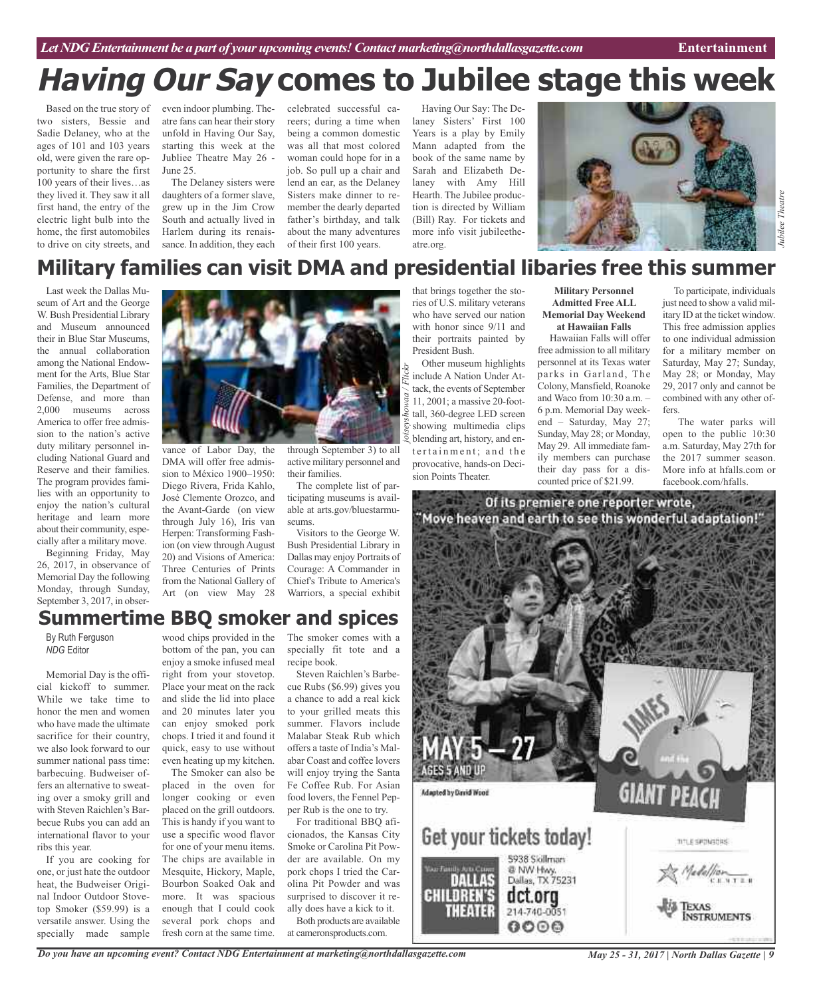# **Having Our Say comes to Jubilee stage this week**

Based on the true story of two sisters, Bessie and Sadie Delaney, who at the ages of 101 and 103 years old, were given the rare opportunity to share the first 100 years of their lives…as they lived it. They saw it all first hand, the entry of the electric light bulb into the home, the first automobiles to drive on city streets, and

even indoor plumbing. Theatre fans can hear their story unfold in Having Our Say, starting this week at the Jubliee Theatre May 26 - June 25.

The Delaney sisters were daughters of a former slave, grew up in the Jim Crow South and actually lived in Harlem during its renaissance. In addition, they each

celebrated successful careers; during a time when being a common domestic was all that most colored woman could hope for in a job. So pull up a chair and lend an ear, as the Delaney Sisters make dinner to remember the dearly departed father's birthday, and talk about the many adventures of their first 100 years.

Having Our Say: The Delaney Sisters' First 100 Years is a play by Emily Mann adapted from the book of the same name by Sarah and Elizabeth Delaney with Amy Hill Hearth. The Jubilee production is directed by William (Bill) Ray. For tickets and more info visit jubileetheatre.org.



### **Military families can visit DMA and presidential libaries free this summer**

Last week the Dallas Museum of Art and the George W. Bush Presidential Library and Museum announced their in Blue Star Museums, the annual collaboration among the National Endowment for the Arts, Blue Star Families, the Department of Defense, and more than 2,000 museums across America to offer free admission to the nation's active duty military personnel including National Guard and Reserve and their families. The program provides families with an opportunity to enjoy the nation's cultural heritage and learn more about their community, especially after a military move.

Beginning Friday, May 26, 2017, in observance of Memorial Day the following Monday, through Sunday, September 3, 2017, in obser-



vance of Labor Day, the DMA will offer free admission to México 1900–1950: Diego Rivera, Frida Kahlo, José Clemente Orozco, and the Avant-Garde (on view through July 16), Iris van Herpen: Transforming Fashion (on view through August 20) and Visions of America: Three Centuries of Prints from the National Gallery of Art (on view May 28 through September 3) to all active military personnel and their families.

The complete list of participating museums is available at arts.gov/bluestarmuseums.

Visitors to the George W. Bush Presidential Library in Dallas may enjoy Portraits of Courage: A Commander in Chief's Tribute to America's Warriors, a special exhibit

that brings together the stories of U.S. military veterans who have served our nation with honor since 9/11 and their portraits painted by President Bush.

Other museum highlights include A Nation Under Attack, the events of September 11, 2001; a massive 20-foottall, 360-degree LED screen showing multimedia clips blending art, history, and entertainment; and the provocative, hands-on Decision Points Theater. *joiseyshowaa / Flickr*

**Military Personnel Admitted Free ALL Memorial Day Weekend at Hawaiian Falls**

Hawaiian Falls will offer free admission to all military personnel at its Texas water parks in Garland, The Colony, Mansfield, Roanoke and Waco from 10:30 a.m. – 6 p.m. Memorial Day weekend – Saturday, May 27; Sunday, May 28; or Monday, May 29. All immediate family members can purchase their day pass for a discounted price of \$21.99.

To participate, individuals just need to show a valid military ID at the ticket window. This free admission applies to one individual admission for a military member on Saturday, May 27; Sunday, May 28; or Monday, May 29, 2017 only and cannot be combined with any other offers.

The water parks will open to the public 10:30 a.m. Saturday, May 27th for the 2017 summer season. More info at hfalls.com or facebook.com/hfalls.



### **Summertime BBQ smoker and spices**

wood chips provided in the

By Ruth Ferguson *NDG* Editor

Memorial Day is the official kickoff to summer. While we take time to honor the men and women who have made the ultimate sacrifice for their country, we also look forward to our summer national pass time: barbecuing. Budweiser offers an alternative to sweating over a smoky grill and with Steven Raichlen's Barbecue Rubs you can add an international flavor to your ribs this year.

If you are cooking for one, or just hate the outdoor heat, the Budweiser Original Indoor Outdoor Stovetop Smoker (\$59.99) is a versatile answer. Using the specially made sample bottom of the pan, you can enjoy a smoke infused meal right from your stovetop. Place your meat on the rack and slide the lid into place and 20 minutes later you can enjoy smoked pork chops. I tried it and found it quick, easy to use without even heating up my kitchen.

The Smoker can also be placed in the oven for longer cooking or even placed on the grill outdoors. This is handy if you want to use a specific wood flavor for one of your menu items. The chips are available in Mesquite, Hickory, Maple, Bourbon Soaked Oak and more. It was spacious enough that I could cook several pork chops and fresh corn at the same time.

*Do you have an upcoming event? Contact NDG Entertainment at marketing@northdallasgazette.com*

The smoker comes with a specially fit tote and a recipe book.

Steven Raichlen's Barbecue Rubs (\$6.99) gives you a chance to add a real kick to your grilled meats this summer. Flavors include Malabar Steak Rub which offers a taste of India's Malabar Coast and coffee lovers will enjoy trying the Santa Fe Coffee Rub. For Asian food lovers, the Fennel Pepper Rub is the one to try.

For traditional BBQ aficionados, the Kansas City Smoke or Carolina Pit Powder are available. On my pork chops I tried the Carolina Pit Powder and was surprised to discover it really does have a kick to it. Both products are available

at cameronsproducts.com.

*May 25 - 31, 2017 | North Dallas Gazette | 9*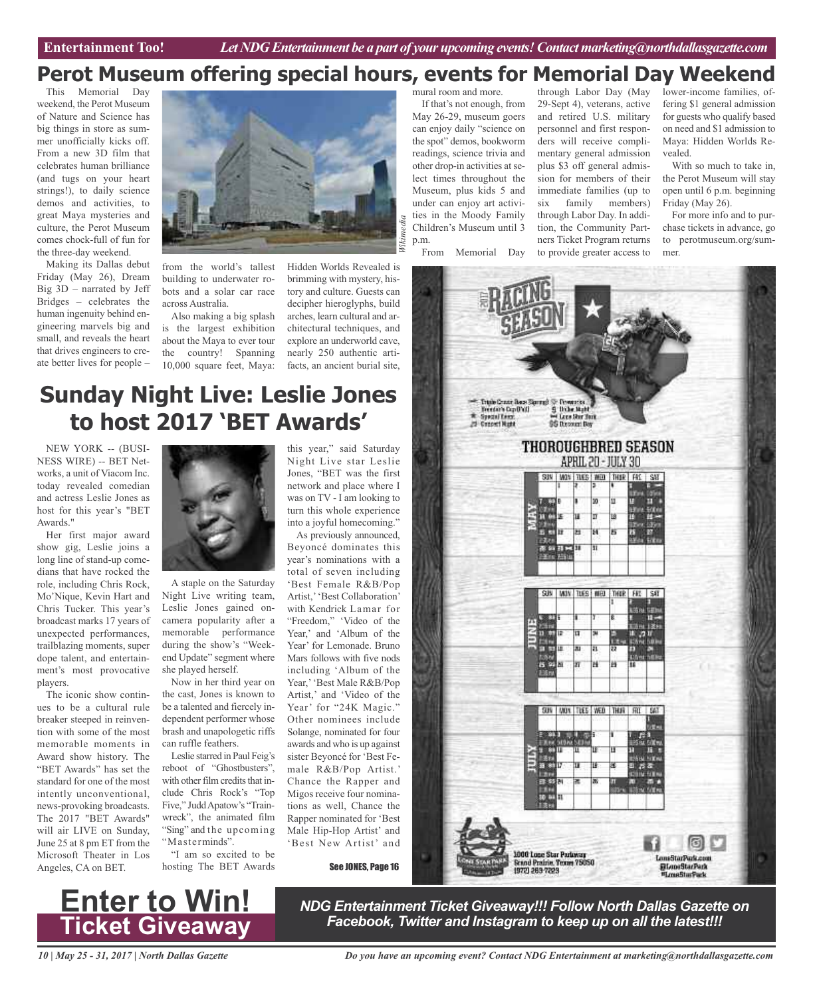### mural room and more. **Perot Museum offering special hours, events for Memorial Day Weekend**

This Memorial Day weekend, the Perot Museum of Nature and Science has big things in store as summer unofficially kicks off. From a new 3D film that celebrates human brilliance (and tugs on your heart strings!), to daily science demos and activities, to great Maya mysteries and culture, the Perot Museum comes chock-full of fun for the three-day weekend.

Making its Dallas debut Friday (May 26), Dream Big 3D – narrated by Jeff Bridges – celebrates the human ingenuity behind engineering marvels big and small, and reveals the heart that drives engineers to create better lives for people –



from the world's tallest building to underwater robots and a solar car race across Australia.

Also making a big splash is the largest exhibition about the Maya to ever tour the country! Spanning 10,000 square feet, Maya:

Hidden Worlds Revealed is brimming with mystery, history and culture. Guests can decipher hieroglyphs, build arches, learn cultural and architectural techniques, and explore an underworld cave, nearly 250 authentic artifacts, an ancient burial site,

If that's not enough, from May 26-29, museum goers can enjoy daily "science on the spot" demos, bookworm readings, science trivia and other drop-in activities at select times throughout the Museum, plus kids 5 and under can enjoy art activities in the Moody Family Children's Museum until 3 p.m.

From Memorial Day

through Labor Day (May 29-Sept 4), veterans, active and retired U.S. military personnel and first responders will receive complimentary general admission plus \$3 off general admission for members of their immediate families (up to six family members) through Labor Day. In addition, the Community Partners Ticket Program returns to provide greater access to

lower-income families, offering \$1 general admission for guests who qualify based on need and \$1 admission to Maya: Hidden Worlds Revealed.

With so much to take in, the Perot Museum will stay open until 6 p.m. beginning Friday (May 26).

For more info and to purchase tickets in advance, go to perotmuseum.org/summer.

# **Sunday Night Live: Leslie Jones to host 2017 'BET Awards'**

NEW YORK -- (BUSI-NESS WIRE) -- BET Networks, a unit of Viacom Inc. today revealed comedian and actress Leslie Jones as host for this year's "BET Awards."

Her first major award show gig, Leslie joins a long line of stand-up comedians that have rocked the role, including Chris Rock, Mo'Nique, Kevin Hart and Chris Tucker. This year's broadcast marks 17 years of unexpected performances, trailblazing moments, super dope talent, and entertainment's most provocative players.

The iconic show continues to be a cultural rule breaker steeped in reinvention with some of the most memorable moments in Award show history. The "BET Awards" has set the standard for one of the most intently unconventional, news-provoking broadcasts. The 2017 "BET Awards" will air LIVE on Sunday, June 25 at 8 pm ET from the Microsoft Theater in Los Angeles, CA on BET.



A staple on the Saturday Night Live writing team, Leslie Jones gained oncamera popularity after a memorable performance during the show's "Weekend Update" segment where she played herself.

Now in her third year on the cast, Jones is known to be a talented and fiercely independent performer whose brash and unapologetic riffs can ruffle feathers.

Leslie starred in Paul Feig's reboot of "Ghostbusters", with other film credits that include Chris Rock's "Top Five," JuddApatow's "Trainwreck", the animated film "Sing" and the upcoming "Masterminds".

"I am so excited to be hosting The BET Awards this year," said Saturday Night Live star Leslie Jones, "BET was the first network and place where I was on TV - I am looking to turn this whole experience into a joyful homecoming."

As previously announced, Beyoncé dominates this year's nominations with a total of seven including 'Best Female R&B/Pop Artist,''Best Collaboration' with Kendrick Lamar for "Freedom," 'Video of the Year,' and 'Album of the Year' for Lemonade. Bruno Mars follows with five nods including 'Album of the Year,''Best Male R&B/Pop Artist,' and 'Video of the Year' for "24K Magic." Other nominees include Solange, nominated for four awards and who is up against sister Beyoncé for 'Best Female R&B/Pop Artist.' Chance the Rapper and Migos receive four nominations as well, Chance the Rapper nominated for 'Best Male Hip-Hop Artist' and 'Best New Artist' and

See JONES, Page 16



*NDG Entertainment Ticket Giveaway!!! Follow North Dallas Gazette on Facebook, Twitter and Instagram to keep up on all the latest!!!*

**Enter to Win!**

**Ticket Giveaway**

*Do you have an upcoming event? Contact NDG Entertainment at marketing@northdallasgazette.com*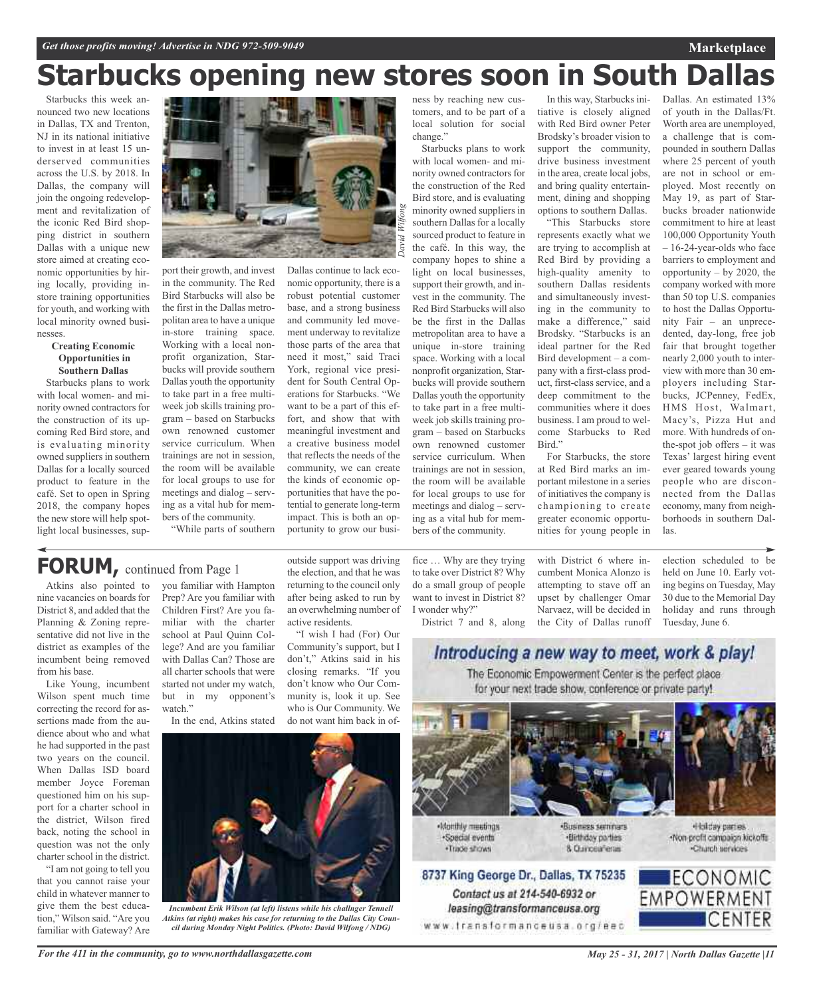# **Starbucks opening new stores soon in South Dallas**

Starbucks this week announced two new locations in Dallas, TX and Trenton, NJ in its national initiative to invest in at least 15 underserved communities across the U.S. by 2018. In Dallas, the company will join the ongoing redevelopment and revitalization of the iconic Red Bird shopping district in southern Dallas with a unique new store aimed at creating economic opportunities by hiring locally, providing instore training opportunities for youth, and working with local minority owned businesses.

#### **Creating Economic Opportunities in Southern Dallas**

Starbucks plans to work with local women- and minority owned contractors for the construction of its upcoming Red Bird store, and is evaluating minority owned suppliers in southern Dallas for a locally sourced product to feature in the café. Set to open in Spring 2018, the company hopes the new store will help spotlight local businesses, sup-

Atkins also pointed to



port their growth, and invest in the community. The Red Bird Starbucks will also be the first in the Dallas metropolitan area to have a unique in-store training space. Working with a local nonprofit organization, Starbucks will provide southern Dallas youth the opportunity to take part in a free multiweek job skills training program – based on Starbucks own renowned customer service curriculum. When trainings are not in session, the room will be available for local groups to use for meetings and dialog – serving as a vital hub for members of the community.

"While parts of southern

#### nomic opportunity, there is a robust potential customer base, and a strong business and community led movement underway to revitalize those parts of the area that need it most," said Traci York, regional vice president for South Central Operations for Starbucks. "We want to be a part of this effort, and show that with meaningful investment and a creative business model that reflects the needs of the community, we can create the kinds of economic opportunities that have the potential to generate long-term impact. This is both an opportunity to grow our busi-

ness by reaching new customers, and to be part of a local solution for social change."

Starbucks plans to work with local women- and minority owned contractors for the construction of the Red Bird store, and is evaluating minority owned suppliers in southern Dallas for a locally sourced product to feature in the café. In this way, the company hopes to shine a light on local businesses, support their growth, and invest in the community. The Red Bird Starbucks will also be the first in the Dallas metropolitan area to have a unique in-store training space. Working with a local nonprofit organization, Starbucks will provide southern Dallas youth the opportunity to take part in a free multiweek job skills training program – based on Starbucks own renowned customer service curriculum. When trainings are not in session, the room will be available for local groups to use for meetings and dialog – serving as a vital hub for members of the community.

In this way, Starbucks initiative is closely aligned with Red Bird owner Peter Brodsky's broader vision to support the community, drive business investment in the area, create local jobs, and bring quality entertainment, dining and shopping options to southern Dallas.

"This Starbucks store represents exactly what we are trying to accomplish at Red Bird by providing a high-quality amenity to southern Dallas residents and simultaneously investing in the community to make a difference," said Brodsky. "Starbucks is an ideal partner for the Red Bird development – a company with a first-class product, first-class service, and a deep commitment to the communities where it does business. I am proud to welcome Starbucks to Red Bird."

For Starbucks, the store at Red Bird marks an important milestone in a series of initiatives the company is championing to create greater economic opportunities for young people in

with District 6 where incumbent Monica Alonzo is attempting to stave off an

Dallas. An estimated 13% of youth in the Dallas/Ft. Worth area are unemployed, a challenge that is compounded in southern Dallas where 25 percent of youth are not in school or employed. Most recently on May 19, as part of Starbucks broader nationwide commitment to hire at least 100,000 Opportunity Youth – 16-24-year-olds who face barriers to employment and opportunity – by 2020, the company worked with more than 50 top U.S. companies to host the Dallas Opportunity Fair – an unprecedented, day-long, free job fair that brought together nearly 2,000 youth to interview with more than 30 employers including Starbucks, JCPenney, FedEx, HMS Host, Walmart, Macy's, Pizza Hut and more. With hundreds of onthe-spot job offers – it was Texas' largest hiring event ever geared towards young people who are disconnected from the Dallas economy, many from neighborhoods in southern Dallas.

**Marketplace**

election scheduled to be held on June 10. Early voting begins on Tuesday, May 30 due to the Memorial Day holiday and runs through Tuesday, June 6.

### outside support was driving the election, and that he was returning to the council only after being asked to run by an overwhelming number of

active residents.

"I wish I had (For) Our Community's support, but I don't," Atkins said in his closing remarks. "If you don't know who Our Community is, look it up. See who is Our Community. We do not want him back in of-

nine vacancies on boards for District 8, and added that the Planning & Zoning representative did not live in the district as examples of the incumbent being removed from his base. Like Young, incumbent

Wilson spent much time correcting the record for assertions made from the audience about who and what he had supported in the past two years on the council. When Dallas ISD board member Joyce Foreman questioned him on his support for a charter school in the district, Wilson fired back, noting the school in question was not the only charter school in the district.

"I am not going to tell you that you cannot raise your child in whatever manner to give them the best education," Wilson said. "Are you familiar with Gateway? Are

you familiar with Hampton Prep? Are you familiar with Children First? Are you familiar with the charter school at Paul Quinn College? And are you familiar with Dallas Can? Those are all charter schools that were started not under my watch, but in my opponent's watch." **FORUM,** continued from Page <sup>1</sup>

In the end, Atkins stated



*Incumbent Erik Wilson (at left) listens while his challnger Tennell Atkins (at right) makes his case for returning to the Dallas City Council during Monday Night Politics. (Photo: David Wilfong / NDG)*

fice … Why are they trying to take over District 8? Why do a small group of people want to invest in District 8? I wonder why?" District 7 and 8, along

upset by challenger Omar Narvaez, will be decided in the City of Dallas runoff Introducing a new way to meet, work & play!

The Economic Empowerment Center is the perfect place



Monthly meetings ·Special events ·Trade shows

Contact us at 214-540-6932 or

leasing@transformanceusa.org

«Business sectorum». ·Birthday parties 8. Curiceaferas

Holday parties. -Non-profit campaign kickoffs Church services

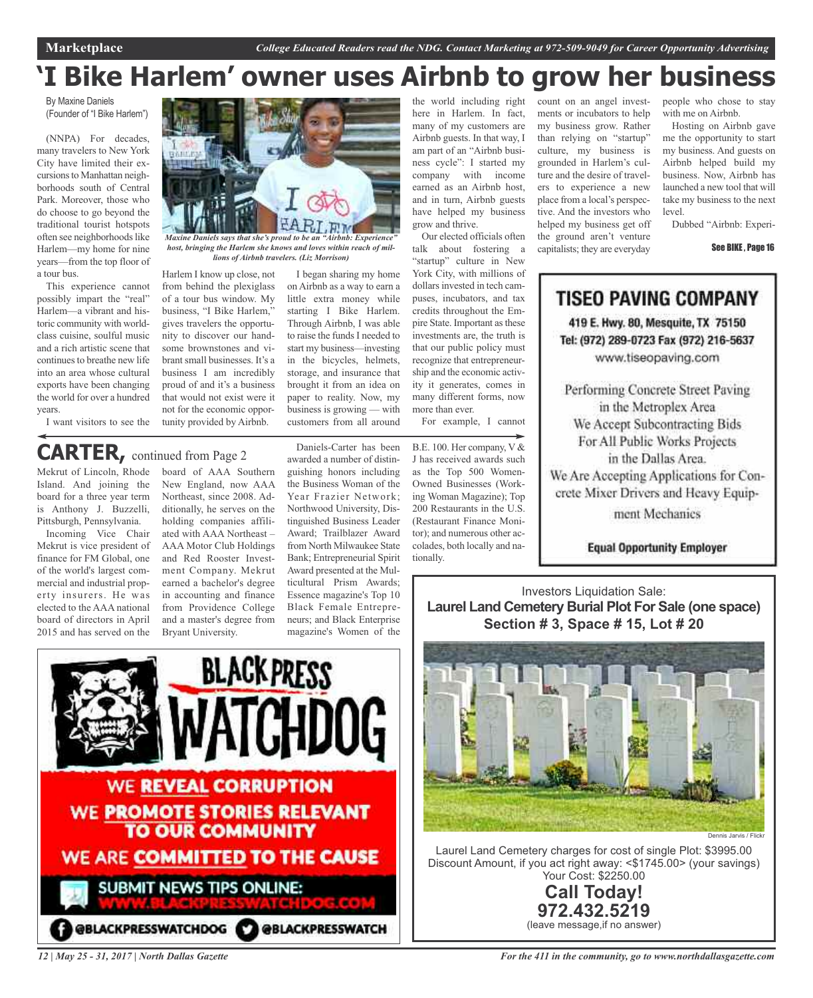# **'I Bike Harlem' owner uses Airbnb to grow her business**

By Maxine Daniels (Founder of "I Bike Harlem")

(NNPA) For decades, many travelers to New York City have limited their excursions to Manhattan neighborhoods south of Central Park. Moreover, those who do choose to go beyond the traditional tourist hotspots often see neighborhoods like Harlem—my home for nine years—from the top floor of a tour bus.

This experience cannot possibly impart the "real" Harlem—a vibrant and historic community with worldclass cuisine, soulful music and a rich artistic scene that continues to breathe new life into an area whose cultural exports have been changing the world for over a hundred years.

I want visitors to see the

Mekrut of Lincoln, Rhode Island. And joining the board for a three year term is Anthony J. Buzzelli, Pittsburgh, Pennsylvania. Incoming Vice Chair Mekrut is vice president of finance for FM Global, one of the world's largest commercial and industrial property insurers. He was elected to the AAA national board of directors in April

**CARTER,** continued from Page <sup>2</sup>



*host, bringing the Harlem she knows and loves within reach of millions of Airbnb travelers. (Liz Morrison)*

Harlem I know up close, not from behind the plexiglass of a tour bus window. My business, "I Bike Harlem," gives travelers the opportunity to discover our handsome brownstones and vibrant small businesses. It's a business I am incredibly proud of and it's a business that would not exist were it not for the economic opportunity provided by Airbnb.

board of AAA Southern New England, now AAA Northeast, since 2008. Additionally, he serves on the holding companies affiliated with AAA Northeast – AAA Motor Club Holdings and Red Rooster Investment Company. Mekrut earned a bachelor's degree in accounting and finance from Providence College and a master's degree from

I began sharing my home on Airbnb as a way to earn a little extra money while starting I Bike Harlem. Through Airbnb, I was able to raise the funds I needed to start my business—investing in the bicycles, helmets, storage, and insurance that brought it from an idea on paper to reality. Now, my business is growing — with customers from all around

Daniels-Carter has been awarded a number of distinguishing honors including the Business Woman of the Year Frazier Network; Northwood University, Distinguished Business Leader Award; Trailblazer Award from North Milwaukee State Bank; Entrepreneurial Spirit Award presented at the Multicultural Prism Awards; Essence magazine's Top 10 Black Female Entrepreneurs; and Black Enterprise

**@BLACKPRESSWATCH** 

the world including right here in Harlem. In fact, many of my customers are Airbnb guests. In that way, I am part of an "Airbnb business cycle": I started my company with income earned as an Airbnb host, and in turn, Airbnb guests have helped my business grow and thrive.

Our elected officials often talk about fostering a "startup" culture in New York City, with millions of dollars invested in tech campuses, incubators, and tax credits throughout the Empire State. Important as these investments are, the truth is that our public policy must recognize that entrepreneurship and the economic activity it generates, comes in many different forms, now more than ever.

For example, I cannot B.E. 100. Her company, V & J has received awards such as the Top 500 Women-Owned Businesses (Working Woman Magazine); Top 200 Restaurants in the U.S. (Restaurant Finance Monitor); and numerous other accolades, both locally and nationally.

count on an angel investments or incubators to help my business grow. Rather than relying on "startup" culture, my business is grounded in Harlem's culture and the desire of travelers to experience a new place from a local's perspective. And the investors who helped my business get off the ground aren't venture capitalists; they are everyday

people who chose to stay with me on Airbnb.

Hosting on Airbnb gave me the opportunity to start my business. And guests on Airbnb helped build my business. Now, Airbnb has launched a new tool that will take my business to the next level.

Dubbed "Airbnb: Experi-

See BIKE , Page 16

### TISEO PAVING COMPANY 419 E. Hwy. 80, Mesquite, TX 75150 Tel: (972) 289-0723 Fax (972) 216-5637 www.tiseopaving.com Performing Concrete Street Paving

in the Metroplex Area We Accept Subcontracting Bids For All Public Works Projects in the Dallas Area. We Are Accepting Applications for Concrete Mixer Drivers and Heavy Equipment Mechanics

**Equal Opportunity Employer** 

Investors Liquidation Sale: **Laurel Land Cemetery Burial Plot For Sale (one space) Section # 3, Space # 15, Lot # 20**



Laurel Land Cemetery charges for cost of single Plot: \$3995.00 Discount Amount, if you act right away: <\$1745.00> (your savings) Your Cost: \$2250.00



2015 and has served on the Bryant University. magazine's Women of the **BLACK PRESS** NATCHDOG **WE REVEAL CORRUPTION** WE PROMOTE STORIES RELEVANT<br>TO OUR COMMUNITY WE ARE COMMITTED TO THE CAUSE SUBMIT NEWS TIPS ONLINE:

*12 | May 25 - 31, 2017 | North Dallas Gazette*

**BLACKPRESSWATCHDOG**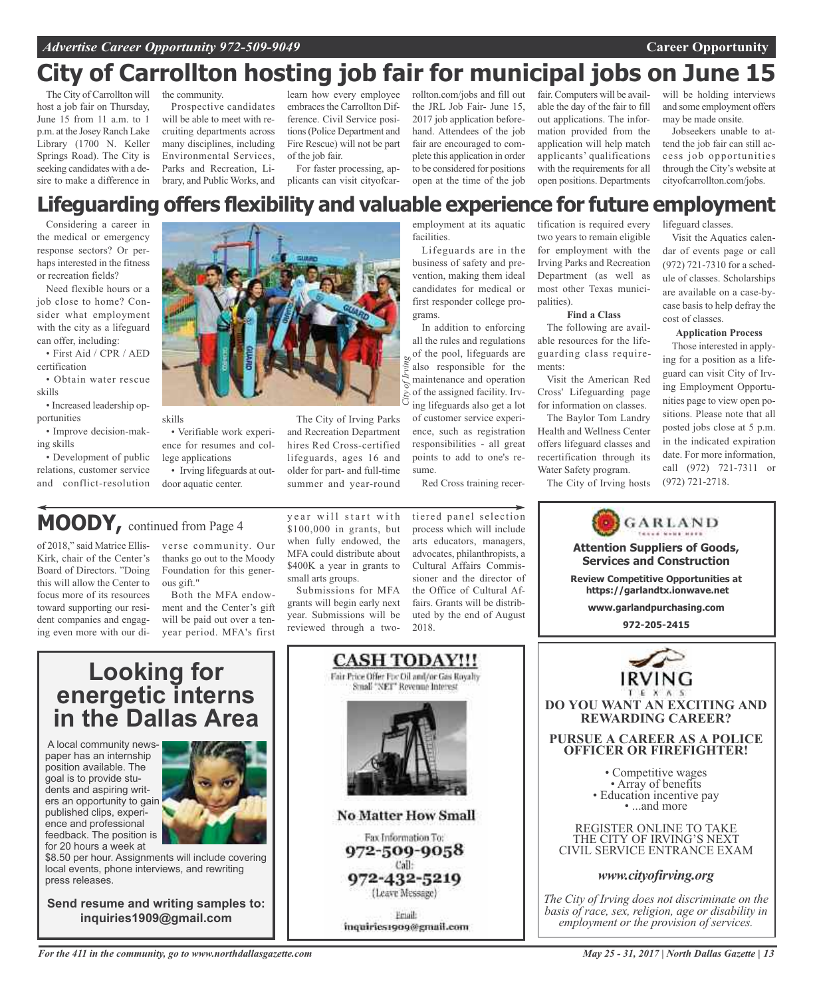# **City of Carrollton hosting job fair for municipal jobs on June 15**

The City of Carrollton will host a job fair on Thursday, June 15 from 11 a.m. to 1 p.m. at the Josey Ranch Lake Library (1700 N. Keller Springs Road). The City is seeking candidates with a desire to make a difference in

the community.

Prospective candidates will be able to meet with recruiting departments across many disciplines, including Environmental Services, Parks and Recreation, Library, and Public Works, and learn how every employee embraces the Carrollton Difference. Civil Service positions(Police Department and Fire Rescue) will not be part of the job fair.

For faster processing, applicants can visit cityofcarrollton.com/jobs and fill out the JRL Job Fair- June 15, 2017 job application beforehand. Attendees of the job fair are encouraged to complete this application in order to be considered for positions open at the time of the job

fair. Computers will be available the day of the fair to fill out applications. The information provided from the application will help match applicants' qualifications with the requirements for all open positions. Departments

will be holding interviews and some employment offers may be made onsite.

Jobseekers unable to attend the job fair can still access job opportunities through the City's website at cityofcarrollton.com/jobs.

## **Lifeguarding offers flexibility and valuable experience for future employment**

Considering a career in the medical or emergency response sectors? Or perhaps interested in the fitness or recreation fields?

Need flexible hours or a job close to home? Consider what employment with the city as a lifeguard can offer, including:

• First Aid / CPR / AED certification

• Obtain water rescue skills

• Increased leadership opportunities

• Improve decision-making skills

• Development of public relations, customer service and conflict-resolution



skills

• Verifiable work experience for resumes and college applications

• Irving lifeguards at outdoor aquatic center.

#### The City of Irving Parks and Recreation Department hires Red Cross-certified lifeguards, ages 16 and older for part- and full-time summer and year-round

employment at its aquatic facilities.

Lifeguards are in the business of safety and prevention, making them ideal candidates for medical or first responder college programs.

In addition to enforcing all the rules and regulations of the pool, lifeguards are also responsible for the maintenance and operation of the assigned facility. Irving lifeguards also get a lot of customer service experience, such as registration responsibilities - all great points to add to one's resume.

Red Cross training recer-

**MOODY,** continued from Page <sup>4</sup>

of 2018," said Matrice Ellis-Kirk, chair of the Center's Board of Directors. "Doing this will allow the Center to focus more of its resources toward supporting our resident companies and engaging even more with our di-

verse community. Our thanks go out to the Moody Foundation for this generous gift."

Both the MFA endowment and the Center's gift will be paid out over a tenyear period. MFA's first

year will start with \$100,000 in grants, but when fully endowed, the MFA could distribute about \$400K a year in grants to small arts groups.

Submissions for MFA grants will begin early next year. Submissions will be reviewed through a twotiered panel selection process which will include arts educators, managers, advocates, philanthropists, a Cultural Affairs Commissioner and the director of the Office of Cultural Affairs. Grants will be distributed by the end of August 2018.

**Looking for energetic interns in the Dallas Area**

A local community newspaper has an internship position available. The goal is to provide students and aspiring writers an opportunity to gain published clips, experience and professional feedback. The position is for 20 hours a week at



\$8.50 per hour. Assignments will include covering local events, phone interviews, and rewriting press releases.

**Send resume and writing samples to: inquiries1909@gmail.com**



#### tification is required every two years to remain eligible for employment with the Irving Parks and Recreation Department (as well as most other Texas municipalities).

#### **Find a Class**

The following are available resources for the lifeguarding class requirements:

Visit the American Red Cross' Lifeguarding page for information on classes. The Baylor Tom Landry Health and Wellness Center offers lifeguard classes and recertification through its

Water Safety program. The City of Irving hosts

#### lifeguard classes.

Visit the Aquatics calendar of events page or call (972) 721-7310 for a schedule of classes. Scholarships are available on a case-bycase basis to help defray the cost of classes.

#### **Application Process**

Those interested in applying for a position as a lifeguard can visit City of Irving Employment Opportunities page to view open positions. Please note that all posted jobs close at 5 p.m. in the indicated expiration date. For more information, call (972) 721-7311 or (972) 721-2718.



THE CITY OF IRVING'S NEXT CIVIL SERVICE ENTRANCE EXAM

#### *www.cityofirving.org*

*The City of Irving does not discriminate on the basis of race, sex, religion, age or disability in employment or the provision of services.*

*For the 411 in the community, go to www.northdallasgazette.com*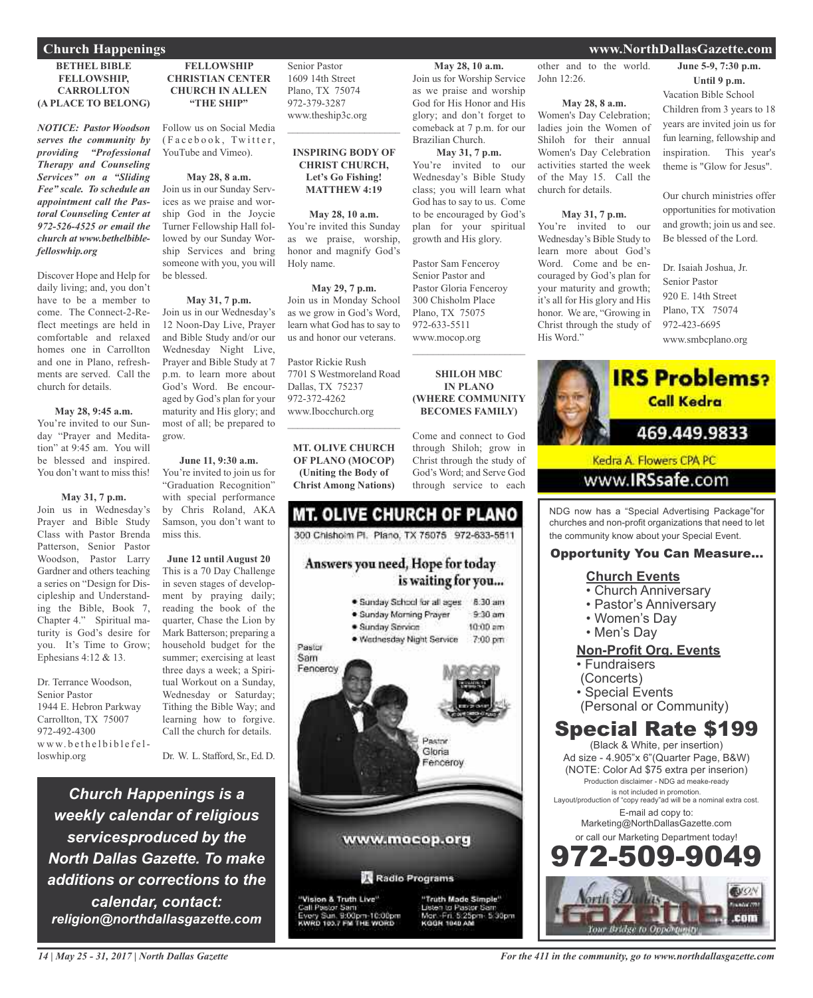### **Church Happenings www.NorthDallasGazette.com**

#### **BETHEL BIBLE FELLOWSHIP, CARROLLTON (A PLACE TO BELONG)**

*NOTICE: Pastor Woodson serves the community by providing "Professional Therapy and Counseling Services" on a "Sliding Fee" scale. To schedule an appointment call the Pastoral Counseling Center at 972-526-4525 or email the church at www.bethelbiblefelloswhip.org*

Discover Hope and Help for daily living; and, you don't have to be a member to come. The Connect-2-Reflect meetings are held in comfortable and relaxed homes one in Carrollton and one in Plano, refreshments are served. Call the church for details.

#### **May 28, 9:45 a.m.**

You're invited to our Sunday "Prayer and Meditation" at 9:45 am. You will be blessed and inspired. You don't want to miss this!

#### **May 31, 7 p.m.**

Join us in Wednesday's Prayer and Bible Study Class with Pastor Brenda Patterson, Senior Pastor Woodson, Pastor Larry Gardner and others teaching a series on "Design for Discipleship and Understanding the Bible, Book 7, Chapter 4." Spiritual maturity is God's desire for you. It's Time to Grow; Ephesians 4:12 & 13.

Dr. Terrance Woodson, Senior Pastor 1944 E. Hebron Parkway Carrollton, TX 75007 972-492-4300 www.bethelbiblefelloswhip.org

#### **FELLOWSHIP CHRISTIAN CENTER CHURCH IN ALLEN "THE SHIP"**

Follow us on Social Media (Facebook, Twitter, YouTube and Vimeo).

#### **May 28, 8 a.m.**

Join us in our Sunday Services as we praise and worship God in the Joycie Turner Fellowship Hall followed by our Sunday Worship Services and bring someone with you, you will be blessed.

#### **May 31, 7 p.m.**

Join us in our Wednesday's 12 Noon-Day Live, Prayer and Bible Study and/or our Wednesday Night Live, Prayer and Bible Study at 7 p.m. to learn more about God's Word. Be encouraged by God's plan for your maturity and His glory; and most of all; be prepared to grow.

#### **June 11, 9:30 a.m.**

You're invited to join us for "Graduation Recognition" with special performance by Chris Roland, AKA Samson, you don't want to miss this.

**June 12 until August 20** This is a 70 Day Challenge in seven stages of development by praying daily; reading the book of the quarter, Chase the Lion by Mark Batterson; preparing a household budget for the summer; exercising at least three days a week; a Spiritual Workout on a Sunday, Wednesday or Saturday; Tithing the Bible Way; and learning how to forgive. Call the church for details.

Dr. W. L. Stafford, Sr., Ed. D.

*Church Happenings is a weekly calendar of religious servicesproduced by the North Dallas Gazette. To make additions or corrections to the calendar, contact: religion@northdallasgazette.com*

Senior Pastor 1609 14th Street Plano, TX 75074 972-379-3287 www.theship3c.org

#### **INSPIRING BODY OF CHRIST CHURCH, Let's Go Fishing! MATTHEW 4:19**

 $\overline{\phantom{a}}$  , which is a set of the set of the set of the set of the set of the set of the set of the set of the set of the set of the set of the set of the set of the set of the set of the set of the set of the set of th

#### **May 28, 10 a.m.**

You're invited this Sunday as we praise, worship, honor and magnify God's Holy name.

#### **May 29, 7 p.m.**

Join us in Monday School as we grow in God's Word, learn what God has to say to us and honor our veterans.

Pastor Rickie Rush 7701 S Westmoreland Road Dallas, TX 75237 972-372-4262 www.Ibocchurch.org

**MT. OLIVE CHURCH OF PLANO (MOCOP) (Uniting the Body of Christ Among Nations)**

 $\overline{\phantom{a}}$  , which is a set of the set of the set of the set of the set of the set of the set of the set of the set of the set of the set of the set of the set of the set of the set of the set of the set of the set of th

### **MT. OLIVE CHURCH OF PLANO** 300 Chishoim Pt. Plano, TX 75075 972-633-5511 Answers you need, Hope for today is waiting for you... · Sunday School for all ages 8:30 am · Sunday Morning Prayer  $9-30$  am · Sunday Service  $10:00$  am · Wednesday Night Service 7:00 pm Pastor Sam Fencerov Pastor Gloria Fenceroy www.mocop.org Radio Programs

'Vision & Truth Live" Call Pastor Sam<br>Every Sun, 9:00pm-10:00pm<br>KWRD 193.7 FM THE WORD

"Truth Made Simple" i to Pastor Si<br>Fri. 5:25pm 5:30pm KODBE 1040 AB

other and to the world. John 12:26.

#### **May 28, 8 a.m.**

**May 28, 10 a.m.** Join us for Worship Service as we praise and worship God for His Honor and His glory; and don't forget to comeback at 7 p.m. for our

**May 31, 7 p.m.** You're invited to our Wednesday's Bible Study class; you will learn what God has to say to us. Come to be encouraged by God's plan for your spiritual growth and His glory.

Brazilian Church.

Pastor Sam Fenceroy Senior Pastor and Pastor Gloria Fenceroy 300 Chisholm Place Plano, TX 75075 972-633-5511 www.mocop.org

 $\overline{\phantom{a}}$  , and the set of the set of the set of the set of the set of the set of the set of the set of the set of the set of the set of the set of the set of the set of the set of the set of the set of the set of the s

**SHILOH MBC IN PLANO (WHERE COMMUNITY BECOMES FAMILY)**

Come and connect to God through Shiloh; grow in Christ through the study of God's Word; and Serve God through service to each Women's Day Celebration; ladies join the Women of Shiloh for their annual Women's Day Celebration activities started the week of the May 15. Call the church for details.

#### **May 31, 7 p.m.**

You're invited to our Wednesday's Bible Study to learn more about God's Word. Come and be encouraged by God's plan for your maturity and growth; it's all for His glory and His honor. We are, "Growing in Christ through the study of His Word."

**June 5-9, 7:30 p.m. Until 9 p.m.**

Vacation Bible School Children from 3 years to 18 years are invited join us for fun learning, fellowship and inspiration. This year's theme is "Glow for Jesus".

Our church ministries offer opportunities for motivation and growth; join us and see. Be blessed of the Lord.

Dr. Isaiah Joshua, Jr. Senior Pastor 920 E. 14th Street Plano, TX 75074 972-423-6695 www.smbcplano.org



NDG now has a "Special Advertising Package"for churches and non-profit organizations that need to let the community know about your Special Event.

#### Opportunity You Can Measure...

#### **Church Events**

- Church Anniversary
- Pastor's Anniversary
- Women's Day
- Men's Day

#### **Non-Profit Org. Events**

- Fundraisers
- (Concerts)
- Special Events
- (Personal or Community)

### Special Rate \$199

(Black & White, per insertion) Ad size - 4.905"x 6"(Quarter Page, B&W) (NOTE: Color Ad \$75 extra per inserion) Production disclaimer - NDG ad meake-ready is not included in promotion. Layout/production of "copy ready"ad will be a nominal extra cost. E-mail ad copy to: Marketing@NorthDallasGazette.com or call our Marketing Department today! 2.509.9

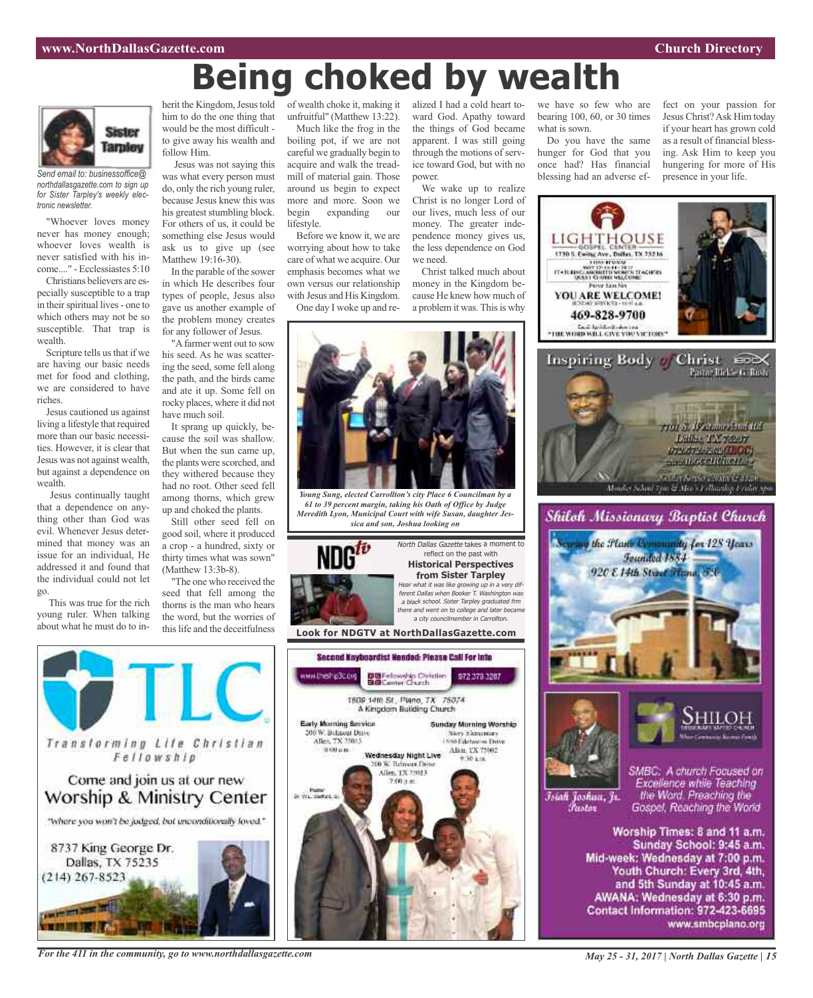### alized I had a cold heart to-**Being choked by wealth**

power.

we need.

ward God. Apathy toward the things of God became apparent. I was still going through the motions of service toward God, but with no

We wake up to realize Christ is no longer Lord of our lives, much less of our money. The greater independence money gives us, the less dependence on God

Christ talked much about money in the Kingdom because He knew how much of a problem it was. This is why



*Send email to: businessoffice@ northdallasgazette.com to sign up for Sister Tarpley's weekly electronic newsletter.*

"Whoever loves money never has money enough; whoever loves wealth is never satisfied with his income...." - Ecclessiastes 5:10

Christians believers are especially susceptible to a trap in their spiritual lives - one to which others may not be so susceptible. That trap is wealth.

Scripture tells us that if we are having our basic needs met for food and clothing, we are considered to have riches.

Jesus cautioned us against living a lifestyle that required more than our basic necessities. However, it is clear that Jesus was not against wealth, but against a dependence on wealth.

Jesus continually taught that a dependence on anything other than God was evil. Whenever Jesus determined that money was an issue for an individual, He addressed it and found that the individual could not let go.

This was true for the rich young ruler. When talking about what he must do to inherit the Kingdom, Jesus told him to do the one thing that would be the most difficult to give away his wealth and follow Him.

Jesus was not saying this was what every person must do, only the rich young ruler, because Jesus knew this was his greatest stumbling block. For others of us, it could be something else Jesus would ask us to give up (see Matthew 19:16-30).

In the parable of the sower in which He describes four types of people, Jesus also gave us another example of the problem money creates for any follower of Jesus.

"Afarmer went out to sow his seed. As he was scattering the seed, some fell along the path, and the birds came and ate it up. Some fell on rocky places, where it did not have much soil.

It sprang up quickly, because the soil was shallow. But when the sun came up, the plants were scorched, and they withered because they had no root. Other seed fell among thorns, which grew up and choked the plants.

Still other seed fell on good soil, where it produced a crop - a hundred, sixty or thirty times what was sown" (Matthew 13:3b-8).

"The one who received the seed that fell among the thorns is the man who hears the word, but the worries of thislife and the deceitfulness



boiling pot, if we are not careful we gradually begin to acquire and walk the treadmill of material gain. Those around us begin to expect more and more. Soon we begin expanding our lifestyle.

Before we know it, we are worrying about how to take care of what we acquire. Our emphasis becomes what we own versus our relationship with Jesus and His Kingdom.

One day I woke up and re-

*Young Sung, elected Carrollton's city Place 6 Councilman by a 61 to 39 percent margin, taking his Oath of Office by Judge Meredith Lyon, Municipal Court with wife Susan, daughter Jessica and son, Joshua looking on*



www.thest-p3c.org

**Early Morning Service** 

200 W. Balmout Drive

Allei, TX 75013

**SUBJEC** 

reflect on the past with **Historical Perspectives from Sister Tarpley** Hear what it was like growing up in <sup>a</sup> very different Dallas when Booker T. Washington was <sup>a</sup> black school. Sister Tarpley graduated frm there and went on to college and later became <sup>a</sup> city councilmember in Carrollton.

**Look for NDGTV at NorthDallasGazette.com**

DUFelowship Opistive

1509 14th St., Plane, TX 75074<br>A Kingdom Building Church

200 W. Talmaux Dress

Allen, TX 75013

230.13



*For the 411 in the community, go to www.northdallasgazette.com*



we have so few who are bearing 100, 60, or 30 times what is sown.

Do you have the same hunger for God that you once had? Has financial blessing had an adverse effect on your passion for Jesus Christ?Ask Him today if your heart has grown cold as a result of financial blessing. Ask Him to keep you hungering for more of His presence in your life.



Sunday School: 9:45 a.m. Mid-week: Wednesday at 7:00 p.m. Youth Church: Every 3rd, 4th, and 5th Sunday at 10:45 a.m. AWANA: Wednesday at 6:30 p.m. Contact Information: 972-423-6695 www.smbcplano.org